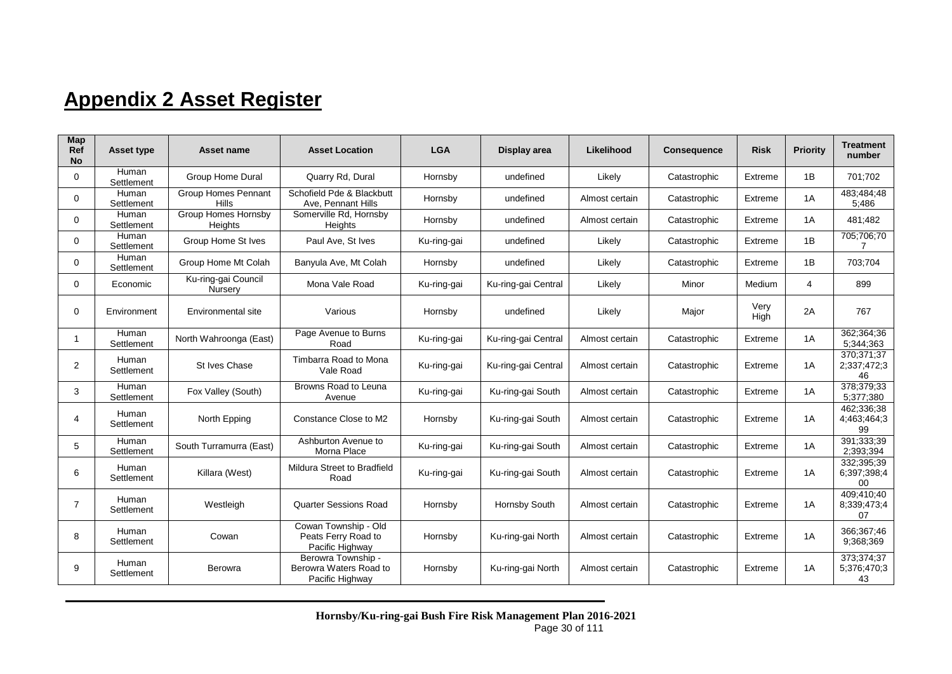## **Appendix 2 Asset Register**

| Map<br>Ref<br><b>No</b> | <b>Asset type</b>   | Asset name                                 | <b>Asset Location</b>                                           | <b>LGA</b>  | Display area        | Likelihood     | <b>Consequence</b> | <b>Risk</b>  | Priority | <b>Treatment</b><br>number      |
|-------------------------|---------------------|--------------------------------------------|-----------------------------------------------------------------|-------------|---------------------|----------------|--------------------|--------------|----------|---------------------------------|
| 0                       | Human<br>Settlement | <b>Group Home Dural</b>                    | Quarry Rd, Dural                                                | Hornsby     | undefined           | Likely         | Catastrophic       | Extreme      | 1B       | 701:702                         |
| 0                       | Human<br>Settlement | <b>Group Homes Pennant</b><br><b>Hills</b> | Schofield Pde & Blackbutt<br>Ave, Pennant Hills                 | Hornsby     | undefined           | Almost certain | Catastrophic       | Extreme      | 1A       | 483;484;48<br>5:486             |
| 0                       | Human<br>Settlement | <b>Group Homes Hornsby</b><br>Heights      | Somerville Rd, Hornsby<br>Heights                               | Hornsby     | undefined           | Almost certain | Catastrophic       | Extreme      | 1A       | 481;482                         |
| 0                       | Human<br>Settlement | Group Home St Ives                         | Paul Ave, St Ives                                               | Ku-ring-gai | undefined           | Likely         | Catastrophic       | Extreme      | 1B       | 705;706;70<br>7                 |
| 0                       | Human<br>Settlement | Group Home Mt Colah                        | Banyula Ave, Mt Colah                                           | Hornsby     | undefined           | Likely         | Catastrophic       | Extreme      | 1B       | 703;704                         |
| 0                       | Economic            | Ku-ring-gai Council<br>Nursery             | Mona Vale Road                                                  | Ku-ring-gai | Ku-ring-gai Central | Likely         | Minor              | Medium       | 4        | 899                             |
| 0                       | Environment         | Environmental site                         | Various                                                         | Hornsby     | undefined           | Likely         | Major              | Very<br>High | 2A       | 767                             |
| 1                       | Human<br>Settlement | North Wahroonga (East)                     | Page Avenue to Burns<br>Road                                    | Ku-ring-gai | Ku-ring-gai Central | Almost certain | Catastrophic       | Extreme      | 1A       | 362:364:36<br>5:344:363         |
| $\overline{2}$          | Human<br>Settlement | St Ives Chase                              | Timbarra Road to Mona<br>Vale Road                              | Ku-ring-gai | Ku-ring-gai Central | Almost certain | Catastrophic       | Extreme      | 1A       | 370:371:37<br>2:337:472:3<br>46 |
| 3                       | Human<br>Settlement | Fox Valley (South)                         | Browns Road to Leuna<br>Avenue                                  | Ku-ring-gai | Ku-ring-gai South   | Almost certain | Catastrophic       | Extreme      | 1A       | 378;379;33<br>5:377:380         |
| 4                       | Human<br>Settlement | North Epping                               | Constance Close to M2                                           | Hornsby     | Ku-ring-gai South   | Almost certain | Catastrophic       | Extreme      | 1A       | 462:336:38<br>4:463:464:3<br>99 |
| 5                       | Human<br>Settlement | South Turramurra (East)                    | Ashburton Avenue to<br>Morna Place                              | Ku-ring-gai | Ku-ring-gai South   | Almost certain | Catastrophic       | Extreme      | 1A       | 391;333;39<br>2:393:394         |
| 6                       | Human<br>Settlement | Killara (West)                             | Mildura Street to Bradfield<br>Road                             | Ku-ring-gai | Ku-ring-gai South   | Almost certain | Catastrophic       | Extreme      | 1A       | 332:395:39<br>6:397:398:4<br>00 |
| $\overline{7}$          | Human<br>Settlement | Westleigh                                  | Quarter Sessions Road                                           | Hornsby     | Hornsby South       | Almost certain | Catastrophic       | Extreme      | 1A       | 409:410:40<br>8,339,473,4<br>07 |
| 8                       | Human<br>Settlement | Cowan                                      | Cowan Township - Old<br>Peats Ferry Road to<br>Pacific Highway  | Hornsby     | Ku-ring-gai North   | Almost certain | Catastrophic       | Extreme      | 1A       | 366;367;46<br>9:368:369         |
| 9                       | Human<br>Settlement | Berowra                                    | Berowra Township -<br>Berowra Waters Road to<br>Pacific Highway | Hornsby     | Ku-ring-gai North   | Almost certain | Catastrophic       | Extreme      | 1A       | 373;374;37<br>5:376:470:3<br>43 |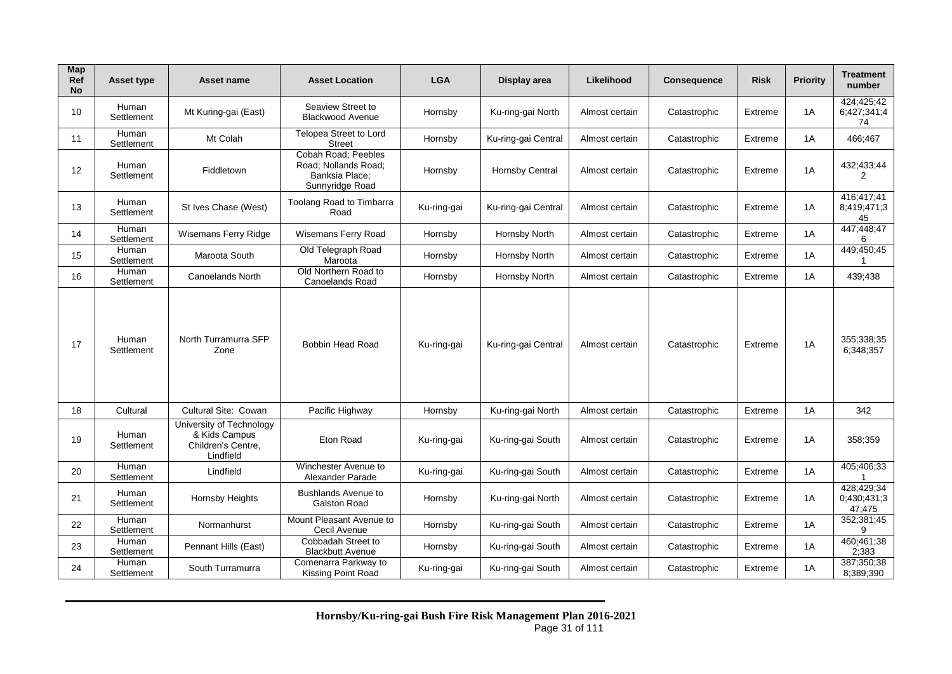| <b>Map</b><br>Ref<br><b>No</b> | <b>Asset type</b>   | Asset name                                                                   | <b>Asset Location</b>                                                            | <b>LGA</b>  | Display area           | Likelihood     | <b>Consequence</b> | <b>Risk</b> | <b>Priority</b> | <b>Treatment</b><br>number          |
|--------------------------------|---------------------|------------------------------------------------------------------------------|----------------------------------------------------------------------------------|-------------|------------------------|----------------|--------------------|-------------|-----------------|-------------------------------------|
| 10                             | Human<br>Settlement | Mt Kuring-gai (East)                                                         | Seaview Street to<br><b>Blackwood Avenue</b>                                     | Hornsby     | Ku-ring-gai North      | Almost certain | Catastrophic       | Extreme     | 1A              | 424:425:42<br>6;427;341;4<br>74     |
| 11                             | Human<br>Settlement | Mt Colah                                                                     | Telopea Street to Lord<br><b>Street</b>                                          | Hornsby     | Ku-ring-gai Central    | Almost certain | Catastrophic       | Extreme     | 1A              | 466;467                             |
| 12                             | Human<br>Settlement | Fiddletown                                                                   | Cobah Road; Peebles<br>Road; Nollands Road;<br>Banksia Place:<br>Sunnyridge Road | Hornsby     | <b>Hornsby Central</b> | Almost certain | Catastrophic       | Extreme     | 1A              | 432;433;44<br>$\overline{2}$        |
| 13                             | Human<br>Settlement | St Ives Chase (West)                                                         | Toolang Road to Timbarra<br>Road                                                 | Ku-ring-gai | Ku-ring-gai Central    | Almost certain | Catastrophic       | Extreme     | 1A              | 416:417:41<br>8;419;471;3<br>45     |
| 14                             | Human<br>Settlement | Wisemans Ferry Ridge                                                         | Wisemans Ferry Road                                                              | Hornsby     | Hornsby North          | Almost certain | Catastrophic       | Extreme     | 1A              | 447;448;47                          |
| 15                             | Human<br>Settlement | Maroota South                                                                | Old Telegraph Road<br>Maroota                                                    | Hornsby     | Hornsby North          | Almost certain | Catastrophic       | Extreme     | 1A              | 449;450;45                          |
| 16                             | Human<br>Settlement | Canoelands North                                                             | Old Northern Road to<br>Canoelands Road                                          | Hornsby     | Hornsby North          | Almost certain | Catastrophic       | Extreme     | 1A              | 439;438                             |
| 17                             | Human<br>Settlement | North Turramurra SFP<br>Zone                                                 | <b>Bobbin Head Road</b>                                                          | Ku-ring-gai | Ku-ring-gai Central    | Almost certain | Catastrophic       | Extreme     | 1A              | 355;338;35<br>6:348:357             |
| 18                             | Cultural            | Cultural Site: Cowan                                                         | Pacific Highway                                                                  | Hornsby     | Ku-ring-gai North      | Almost certain | Catastrophic       | Extreme     | 1A              | 342                                 |
| 19                             | Human<br>Settlement | University of Technology<br>& Kids Campus<br>Children's Centre.<br>Lindfield | Eton Road                                                                        | Ku-ring-gai | Ku-ring-gai South      | Almost certain | Catastrophic       | Extreme     | 1A              | 358;359                             |
| 20                             | Human<br>Settlement | Lindfield                                                                    | Winchester Avenue to<br>Alexander Parade                                         | Ku-ring-gai | Ku-ring-gai South      | Almost certain | Catastrophic       | Extreme     | 1A              | 405;406;33                          |
| 21                             | Human<br>Settlement | <b>Hornsby Heights</b>                                                       | <b>Bushlands Avenue to</b><br>Galston Road                                       | Hornsby     | Ku-ring-gai North      | Almost certain | Catastrophic       | Extreme     | 1A              | 428;429;34<br>0;430;431;3<br>47;475 |
| 22                             | Human<br>Settlement | Normanhurst                                                                  | Mount Pleasant Avenue to<br>Cecil Avenue                                         | Hornsby     | Ku-ring-gai South      | Almost certain | Catastrophic       | Extreme     | 1A              | 352;381;45<br>g                     |
| 23                             | Human<br>Settlement | Pennant Hills (East)                                                         | Cobbadah Street to<br><b>Blackbutt Avenue</b>                                    | Hornsby     | Ku-ring-gai South      | Almost certain | Catastrophic       | Extreme     | 1A              | 460;461;38<br>2:383                 |
| 24                             | Human<br>Settlement | South Turramurra                                                             | Comenarra Parkway to<br>Kissing Point Road                                       | Ku-ring-gai | Ku-ring-gai South      | Almost certain | Catastrophic       | Extreme     | 1A              | 387;350;38<br>8;389;390             |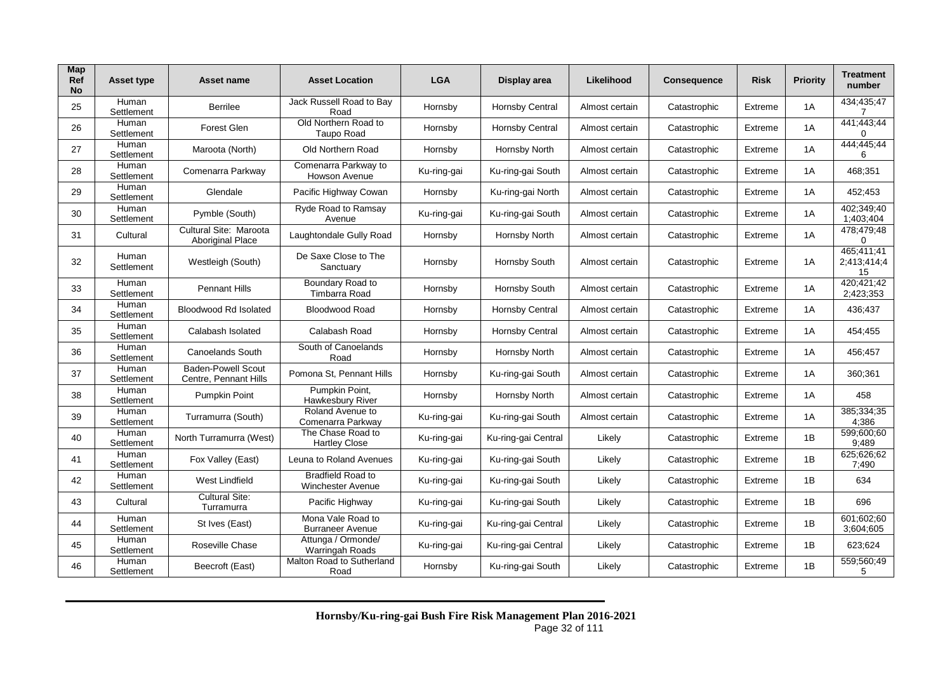| Map<br><b>Ref</b><br><b>No</b> | <b>Asset type</b>   | Asset name                                         | <b>Asset Location</b>                                | <b>LGA</b>  | Display area           | Likelihood     | <b>Consequence</b> | <b>Risk</b> | <b>Priority</b> | <b>Treatment</b><br>number      |
|--------------------------------|---------------------|----------------------------------------------------|------------------------------------------------------|-------------|------------------------|----------------|--------------------|-------------|-----------------|---------------------------------|
| 25                             | Human<br>Settlement | <b>Berrilee</b>                                    | Jack Russell Road to Bay<br>Road                     | Hornsby     | Hornsby Central        | Almost certain | Catastrophic       | Extreme     | 1A              | 434;435;47<br>7                 |
| 26                             | Human<br>Settlement | <b>Forest Glen</b>                                 | Old Northern Road to<br>Taupo Road                   | Hornsby     | <b>Hornsby Central</b> | Almost certain | Catastrophic       | Extreme     | 1A              | 441;443;44<br>0                 |
| 27                             | Human<br>Settlement | Maroota (North)                                    | Old Northern Road                                    | Hornsby     | Hornsby North          | Almost certain | Catastrophic       | Extreme     | 1A              | 444;445;44<br>6                 |
| 28                             | Human<br>Settlement | Comenarra Parkway                                  | Comenarra Parkway to<br>Howson Avenue                | Ku-ring-gai | Ku-ring-gai South      | Almost certain | Catastrophic       | Extreme     | 1A              | 468;351                         |
| 29                             | Human<br>Settlement | Glendale                                           | Pacific Highway Cowan                                | Hornsby     | Ku-ring-gai North      | Almost certain | Catastrophic       | Extreme     | 1A              | 452;453                         |
| 30                             | Human<br>Settlement | Pymble (South)                                     | Ryde Road to Ramsay<br>Avenue                        | Ku-ring-gai | Ku-ring-gai South      | Almost certain | Catastrophic       | Extreme     | 1A              | 402;349;40<br>1;403;404         |
| 31                             | Cultural            | Cultural Site: Maroota<br><b>Aboriginal Place</b>  | Laughtondale Gully Road                              | Hornsby     | Hornsby North          | Almost certain | Catastrophic       | Extreme     | 1A              | 478;479;48<br>0                 |
| 32                             | Human<br>Settlement | Westleigh (South)                                  | De Saxe Close to The<br>Sanctuary                    | Hornsby     | Hornsby South          | Almost certain | Catastrophic       | Extreme     | 1A              | 465;411;41<br>2;413;414;4<br>15 |
| 33                             | Human<br>Settlement | <b>Pennant Hills</b>                               | Boundary Road to<br>Timbarra Road                    | Hornsby     | Hornsby South          | Almost certain | Catastrophic       | Extreme     | 1A              | 420:421:42<br>2;423;353         |
| 34                             | Human<br>Settlement | <b>Bloodwood Rd Isolated</b>                       | <b>Bloodwood Road</b>                                | Hornsby     | <b>Hornsby Central</b> | Almost certain | Catastrophic       | Extreme     | 1A              | 436,437                         |
| 35                             | Human<br>Settlement | Calabash Isolated                                  | Calabash Road                                        | Hornsby     | <b>Hornsby Central</b> | Almost certain | Catastrophic       | Extreme     | 1A              | 454,455                         |
| 36                             | Human<br>Settlement | Canoelands South                                   | South of Canoelands<br>Road                          | Hornsby     | Hornsby North          | Almost certain | Catastrophic       | Extreme     | 1A              | 456;457                         |
| 37                             | Human<br>Settlement | <b>Baden-Powell Scout</b><br>Centre, Pennant Hills | Pomona St, Pennant Hills                             | Hornsby     | Ku-ring-gai South      | Almost certain | Catastrophic       | Extreme     | 1A              | 360;361                         |
| 38                             | Human<br>Settlement | Pumpkin Point                                      | Pumpkin Point,<br>Hawkesbury River                   | Hornsby     | Hornsby North          | Almost certain | Catastrophic       | Extreme     | 1A              | 458                             |
| 39                             | Human<br>Settlement | Turramurra (South)                                 | Roland Avenue to<br>Comenarra Parkway                | Ku-ring-gai | Ku-ring-gai South      | Almost certain | Catastrophic       | Extreme     | 1A              | 385;334;35<br>4,386             |
| 40                             | Human<br>Settlement | North Turramurra (West)                            | The Chase Road to<br><b>Hartley Close</b>            | Ku-ring-gai | Ku-ring-gai Central    | Likely         | Catastrophic       | Extreme     | 1B              | 599;600;60<br>9:489             |
| 41                             | Human<br>Settlement | Fox Valley (East)                                  | Leuna to Roland Avenues                              | Ku-ring-gai | Ku-ring-gai South      | Likely         | Catastrophic       | Extreme     | 1B              | 625:626:62<br>7;490             |
| 42                             | Human<br>Settlement | West Lindfield                                     | <b>Bradfield Road to</b><br><b>Winchester Avenue</b> | Ku-ring-gai | Ku-ring-gai South      | Likely         | Catastrophic       | Extreme     | 1B              | 634                             |
| 43                             | Cultural            | <b>Cultural Site:</b><br>Turramurra                | Pacific Highway                                      | Ku-ring-gai | Ku-ring-gai South      | Likely         | Catastrophic       | Extreme     | 1B              | 696                             |
| 44                             | Human<br>Settlement | St Ives (East)                                     | Mona Vale Road to<br><b>Burraneer Avenue</b>         | Ku-ring-gai | Ku-ring-gai Central    | Likely         | Catastrophic       | Extreme     | 1B              | 601;602;60<br>3;604;605         |
| 45                             | Human<br>Settlement | Roseville Chase                                    | Attunga / Ormonde/<br>Warringah Roads                | Ku-ring-gai | Ku-ring-gai Central    | Likely         | Catastrophic       | Extreme     | 1B              | 623;624                         |
| 46                             | Human<br>Settlement | Beecroft (East)                                    | Malton Road to Sutherland<br>Road                    | Hornsby     | Ku-ring-gai South      | Likely         | Catastrophic       | Extreme     | 1B              | 559;560;49<br>5                 |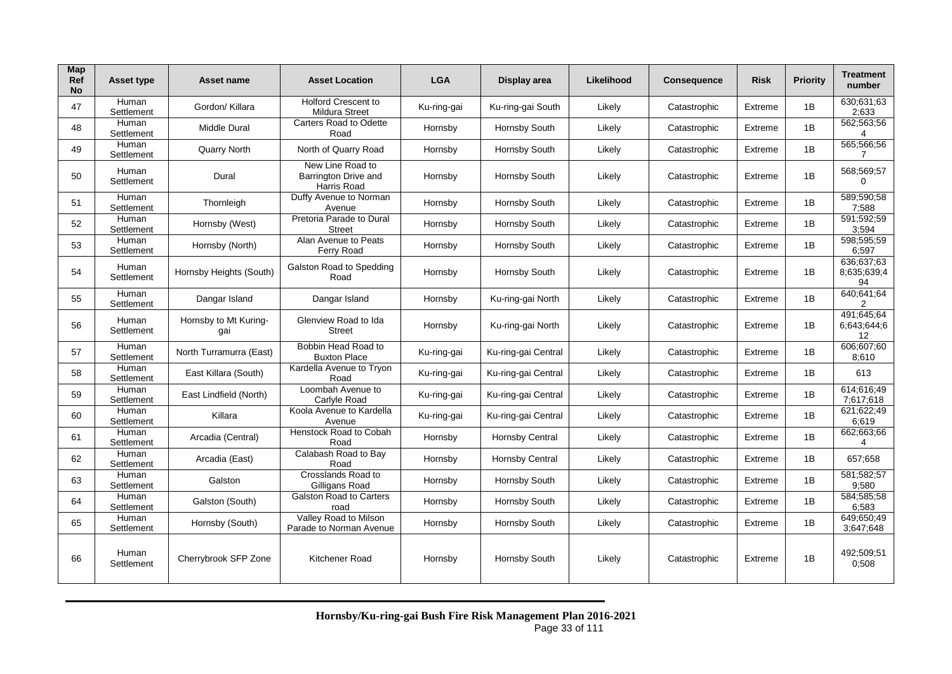| Map<br>Ref<br><b>No</b> | Asset type          | Asset name                   | <b>Asset Location</b>                                   | <b>LGA</b>  | Display area           | Likelihood | <b>Consequence</b> | Risk    | <b>Priority</b> | <b>Treatment</b><br>number      |
|-------------------------|---------------------|------------------------------|---------------------------------------------------------|-------------|------------------------|------------|--------------------|---------|-----------------|---------------------------------|
| 47                      | Human<br>Settlement | Gordon/ Killara              | <b>Holford Crescent to</b><br>Mildura Street            | Ku-ring-gai | Ku-ring-gai South      | Likely     | Catastrophic       | Extreme | 1B              | 630:631:63<br>2:633             |
| 48                      | Human<br>Settlement | <b>Middle Dural</b>          | Carters Road to Odette<br>Road                          | Hornsby     | Hornsby South          | Likely     | Catastrophic       | Extreme | 1B              | 562;563;56<br>4                 |
| 49                      | Human<br>Settlement | <b>Quarry North</b>          | North of Quarry Road                                    | Hornsby     | Hornsby South          | Likely     | Catastrophic       | Extreme | 1B              | 565;566;56<br>7                 |
| 50                      | Human<br>Settlement | Dural                        | New Line Road to<br>Barrington Drive and<br>Harris Road | Hornsby     | Hornsby South          | Likely     | Catastrophic       | Extreme | 1B              | 568;569;57<br>$\mathbf 0$       |
| 51                      | Human<br>Settlement | Thornleigh                   | Duffy Avenue to Norman<br>Avenue                        | Hornsby     | Hornsby South          | Likely     | Catastrophic       | Extreme | 1B              | 589;590;58<br>7;588             |
| 52                      | Human<br>Settlement | Hornsby (West)               | Pretoria Parade to Dural<br><b>Street</b>               | Hornsby     | Hornsby South          | Likely     | Catastrophic       | Extreme | 1B              | 591;592;59<br>3:594             |
| 53                      | Human<br>Settlement | Hornsby (North)              | Alan Avenue to Peats<br>Ferry Road                      | Hornsby     | Hornsby South          | Likely     | Catastrophic       | Extreme | 1B              | 598;595;59<br>6;597             |
| 54                      | Human<br>Settlement | Hornsby Heights (South)      | Galston Road to Spedding<br>Road                        | Hornsby     | Hornsby South          | Likely     | Catastrophic       | Extreme | 1B              | 636:637:63<br>8:635:639:4<br>94 |
| 55                      | Human<br>Settlement | Dangar Island                | Dangar Island                                           | Hornsby     | Ku-ring-gai North      | Likely     | Catastrophic       | Extreme | 1B              | 640;641;64<br>2                 |
| 56                      | Human<br>Settlement | Hornsby to Mt Kuring-<br>qai | Glenview Road to Ida<br><b>Street</b>                   | Hornsby     | Ku-ring-gai North      | Likely     | Catastrophic       | Extreme | 1B              | 491:645:64<br>6:643:644:6<br>12 |
| 57                      | Human<br>Settlement | North Turramurra (East)      | Bobbin Head Road to<br><b>Buxton Place</b>              | Ku-ring-gai | Ku-ring-gai Central    | Likely     | Catastrophic       | Extreme | 1B              | 606;607;60<br>8:610             |
| 58                      | Human<br>Settlement | East Killara (South)         | Kardella Avenue to Tryon<br>Road                        | Ku-ring-gai | Ku-ring-gai Central    | Likely     | Catastrophic       | Extreme | 1B              | 613                             |
| 59                      | Human<br>Settlement | East Lindfield (North)       | Loombah Avenue to<br>Carlyle Road                       | Ku-ring-gai | Ku-ring-gai Central    | Likely     | Catastrophic       | Extreme | 1B              | 614:616:49<br>7:617:618         |
| 60                      | Human<br>Settlement | Killara                      | Koola Avenue to Kardella<br>Avenue                      | Ku-ring-gai | Ku-ring-gai Central    | Likely     | Catastrophic       | Extreme | 1B              | 621;622;49<br>6:619             |
| 61                      | Human<br>Settlement | Arcadia (Central)            | Henstock Road to Cobah<br>Road                          | Hornsby     | <b>Hornsby Central</b> | Likely     | Catastrophic       | Extreme | 1B              | 662;663;66<br>4                 |
| 62                      | Human<br>Settlement | Arcadia (East)               | Calabash Road to Bay<br>Road                            | Hornsby     | <b>Hornsby Central</b> | Likely     | Catastrophic       | Extreme | 1B              | 657;658                         |
| 63                      | Human<br>Settlement | Galston                      | Crosslands Road to<br>Gilligans Road                    | Hornsby     | Hornsby South          | Likely     | Catastrophic       | Extreme | 1B              | 581;582;57<br>9;580             |
| 64                      | Human<br>Settlement | Galston (South)              | Galston Road to Carters<br>road                         | Hornsby     | Hornsby South          | Likely     | Catastrophic       | Extreme | 1B              | 584;585;58<br>6:583             |
| 65                      | Human<br>Settlement | Hornsby (South)              | Valley Road to Milson<br>Parade to Norman Avenue        | Hornsby     | Hornsby South          | Likely     | Catastrophic       | Extreme | 1B              | 649;650;49<br>3;647;648         |
| 66                      | Human<br>Settlement | Cherrybrook SFP Zone         | Kitchener Road                                          | Hornsby     | Hornsby South          | Likely     | Catastrophic       | Extreme | 1B              | 492:509:51<br>0:508             |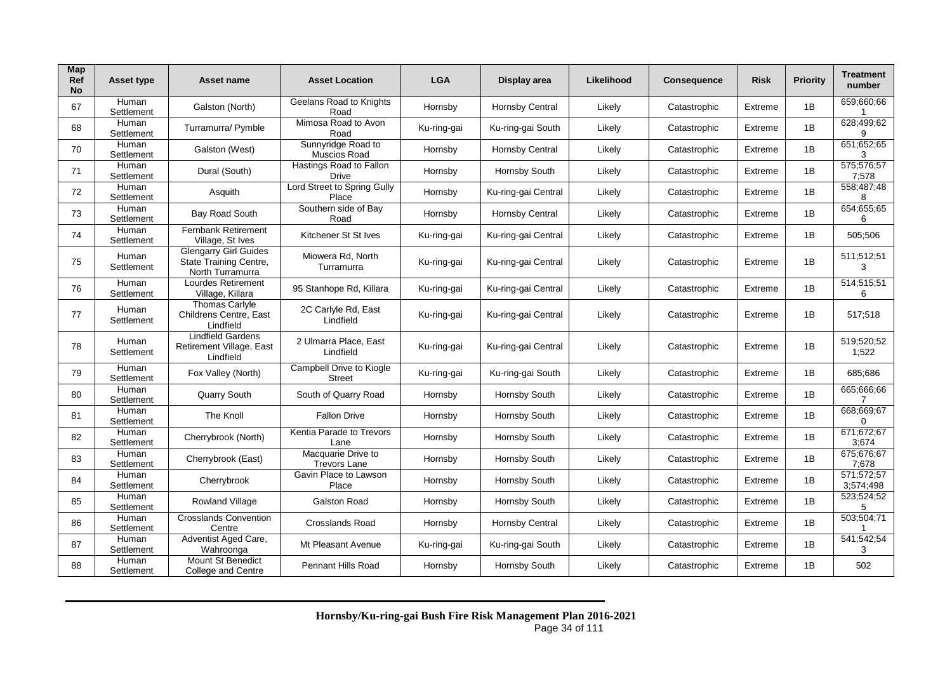| Map<br><b>Ref</b><br><b>No</b> | <b>Asset type</b>   | Asset name                                                                 | <b>Asset Location</b>                     | <b>LGA</b>  | Display area           | Likelihood | <b>Consequence</b> | <b>Risk</b> | <b>Priority</b> | <b>Treatment</b><br>number |
|--------------------------------|---------------------|----------------------------------------------------------------------------|-------------------------------------------|-------------|------------------------|------------|--------------------|-------------|-----------------|----------------------------|
| 67                             | Human<br>Settlement | Galston (North)                                                            | Geelans Road to Knights<br>Road           | Hornsby     | <b>Hornsby Central</b> | Likely     | Catastrophic       | Extreme     | 1B              | 659;660;66                 |
| 68                             | Human<br>Settlement | Turramurra/ Pymble                                                         | Mimosa Road to Avon<br>Road               | Ku-ring-gai | Ku-ring-gai South      | Likely     | Catastrophic       | Extreme     | 1B              | 628;499;62<br>9            |
| 70                             | Human<br>Settlement | Galston (West)                                                             | Sunnyridge Road to<br>Muscios Road        | Hornsby     | <b>Hornsby Central</b> | Likely     | Catastrophic       | Extreme     | 1B              | 651;652;65                 |
| 71                             | Human<br>Settlement | Dural (South)                                                              | Hastings Road to Fallon<br><b>Drive</b>   | Hornsby     | Hornsby South          | Likely     | Catastrophic       | Extreme     | 1B              | 575;576;57<br>7:578        |
| 72                             | Human<br>Settlement | Asquith                                                                    | Lord Street to Spring Gully<br>Place      | Hornsby     | Ku-ring-gai Central    | Likely     | Catastrophic       | Extreme     | 1B              | 558;487;48<br>8            |
| 73                             | Human<br>Settlement | <b>Bay Road South</b>                                                      | Southern side of Bay<br>Road              | Hornsby     | <b>Hornsby Central</b> | Likely     | Catastrophic       | Extreme     | 1B              | 654;655;65<br>6            |
| 74                             | Human<br>Settlement | <b>Fernbank Retirement</b><br>Village, St Ives                             | Kitchener St St Ives                      | Ku-ring-gai | Ku-ring-gai Central    | Likely     | Catastrophic       | Extreme     | 1B              | 505;506                    |
| 75                             | Human<br>Settlement | <b>Glengarry Girl Guides</b><br>State Training Centre,<br>North Turramurra | Miowera Rd, North<br>Turramurra           | Ku-ring-gai | Ku-ring-gai Central    | Likely     | Catastrophic       | Extreme     | 1B              | 511;512;51<br>3            |
| 76                             | Human<br>Settlement | <b>Lourdes Retirement</b><br>Village, Killara                              | 95 Stanhope Rd, Killara                   | Ku-ring-gai | Ku-ring-gai Central    | Likely     | Catastrophic       | Extreme     | 1B              | 514;515;51<br>6            |
| 77                             | Human<br>Settlement | <b>Thomas Carlyle</b><br>Childrens Centre, East<br>Lindfield               | 2C Carlyle Rd, East<br>Lindfield          | Ku-ring-gai | Ku-ring-gai Central    | Likely     | Catastrophic       | Extreme     | 1B              | 517;518                    |
| 78                             | Human<br>Settlement | <b>Lindfield Gardens</b><br>Retirement Village, East<br>Lindfield          | 2 Ulmarra Place, East<br>Lindfield        | Ku-ring-gai | Ku-ring-gai Central    | Likely     | Catastrophic       | Extreme     | 1B              | 519;520;52<br>1;522        |
| 79                             | Human<br>Settlement | Fox Valley (North)                                                         | Campbell Drive to Kiogle<br><b>Street</b> | Ku-ring-gai | Ku-ring-gai South      | Likely     | Catastrophic       | Extreme     | 1B              | 685;686                    |
| 80                             | Human<br>Settlement | Quarry South                                                               | South of Quarry Road                      | Hornsby     | Hornsby South          | Likely     | Catastrophic       | Extreme     | 1B              | 665;666;66<br>7            |
| 81                             | Human<br>Settlement | The Knoll                                                                  | <b>Fallon Drive</b>                       | Hornsby     | Hornsby South          | Likely     | Catastrophic       | Extreme     | 1B              | 668;669;67<br>$\Omega$     |
| 82                             | Human<br>Settlement | Cherrybrook (North)                                                        | Kentia Parade to Trevors<br>Lane          | Hornsby     | Hornsby South          | Likely     | Catastrophic       | Extreme     | 1B              | 671;672;67<br>3:674        |
| 83                             | Human<br>Settlement | Cherrybrook (East)                                                         | Macquarie Drive to<br><b>Trevors Lane</b> | Hornsby     | Hornsby South          | Likely     | Catastrophic       | Extreme     | 1B              | 675:676:67<br>7:678        |
| 84                             | Human<br>Settlement | Cherrybrook                                                                | Gavin Place to Lawson<br>Place            | Hornsby     | Hornsby South          | Likely     | Catastrophic       | Extreme     | 1B              | 571;572;57<br>3:574:498    |
| 85                             | Human<br>Settlement | Rowland Village                                                            | <b>Galston Road</b>                       | Hornsby     | Hornsby South          | Likely     | Catastrophic       | Extreme     | 1B              | 523;524;52<br>5            |
| 86                             | Human<br>Settlement | <b>Crosslands Convention</b><br>Centre                                     | <b>Crosslands Road</b>                    | Hornsby     | <b>Hornsby Central</b> | Likely     | Catastrophic       | Extreme     | 1B              | 503;504;71                 |
| 87                             | Human<br>Settlement | Adventist Aged Care,<br>Wahroonga                                          | Mt Pleasant Avenue                        | Ku-ring-gai | Ku-ring-gai South      | Likely     | Catastrophic       | Extreme     | 1B              | 541;542;54<br>3            |
| 88                             | Human<br>Settlement | Mount St Benedict<br>College and Centre                                    | <b>Pennant Hills Road</b>                 | Hornsby     | Hornsby South          | Likely     | Catastrophic       | Extreme     | 1B              | 502                        |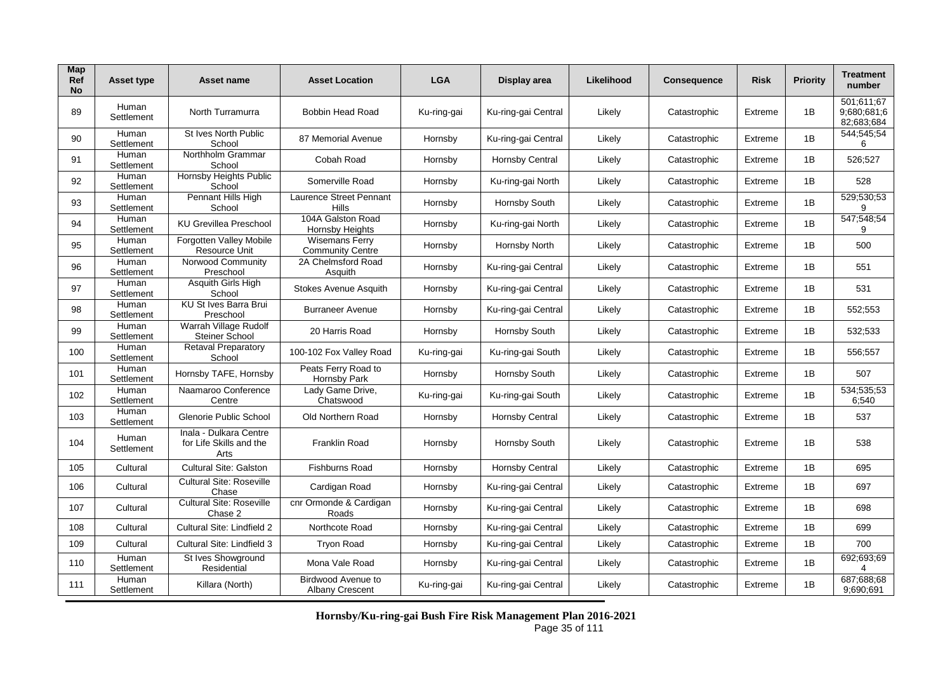| Map<br><b>Ref</b><br><b>No</b> | <b>Asset type</b>   | Asset name                                                | <b>Asset Location</b>                            | <b>LGA</b>  | Display area           | Likelihood | <b>Consequence</b> | <b>Risk</b> | <b>Priority</b> | <b>Treatment</b><br>number              |
|--------------------------------|---------------------|-----------------------------------------------------------|--------------------------------------------------|-------------|------------------------|------------|--------------------|-------------|-----------------|-----------------------------------------|
| 89                             | Human<br>Settlement | North Turramurra                                          | <b>Bobbin Head Road</b>                          | Ku-ring-gai | Ku-ring-gai Central    | Likely     | Catastrophic       | Extreme     | 1B              | 501;611;67<br>9:680:681:6<br>82:683:684 |
| 90                             | Human<br>Settlement | St Ives North Public<br>School                            | 87 Memorial Avenue                               | Hornsby     | Ku-ring-gai Central    | Likely     | Catastrophic       | Extreme     | 1B              | 544;545;54<br>6                         |
| 91                             | Human<br>Settlement | Northholm Grammar<br>School                               | Cobah Road                                       | Hornsby     | <b>Hornsby Central</b> | Likely     | Catastrophic       | Extreme     | 1B              | 526;527                                 |
| 92                             | Human<br>Settlement | <b>Hornsby Heights Public</b><br>School                   | Somerville Road                                  | Hornsby     | Ku-ring-gai North      | Likely     | Catastrophic       | Extreme     | 1B              | 528                                     |
| 93                             | Human<br>Settlement | Pennant Hills High<br>School                              | Laurence Street Pennant<br>Hills                 | Hornsby     | Hornsby South          | Likely     | Catastrophic       | Extreme     | 1B              | 529;530;53<br>9                         |
| 94                             | Human<br>Settlement | <b>KU Grevillea Preschool</b>                             | 104A Galston Road<br><b>Hornsby Heights</b>      | Hornsby     | Ku-ring-gai North      | Likely     | Catastrophic       | Extreme     | 1B              | 547;548;54<br>9                         |
| 95                             | Human<br>Settlement | <b>Forgotten Valley Mobile</b><br><b>Resource Unit</b>    | <b>Wisemans Ferry</b><br><b>Community Centre</b> | Hornsby     | Hornsby North          | Likely     | Catastrophic       | Extreme     | 1B              | 500                                     |
| 96                             | Human<br>Settlement | Norwood Community<br>Preschool                            | 2A Chelmsford Road<br>Asquith                    | Hornsby     | Ku-ring-gai Central    | Likely     | Catastrophic       | Extreme     | 1B              | 551                                     |
| 97                             | Human<br>Settlement | Asquith Girls High<br>School                              | Stokes Avenue Asquith                            | Hornsby     | Ku-ring-gai Central    | Likely     | Catastrophic       | Extreme     | 1B              | 531                                     |
| 98                             | Human<br>Settlement | <b>KU St Ives Barra Brui</b><br>Preschool                 | <b>Burraneer Avenue</b>                          | Hornsby     | Ku-ring-gai Central    | Likely     | Catastrophic       | Extreme     | 1B              | 552;553                                 |
| 99                             | Human<br>Settlement | Warrah Village Rudolf<br><b>Steiner School</b>            | 20 Harris Road                                   | Hornsby     | Hornsby South          | Likely     | Catastrophic       | Extreme     | 1B              | 532;533                                 |
| 100                            | Human<br>Settlement | <b>Retaval Preparatory</b><br>School                      | 100-102 Fox Valley Road                          | Ku-ring-gai | Ku-ring-gai South      | Likely     | Catastrophic       | Extreme     | 1B              | 556,557                                 |
| 101                            | Human<br>Settlement | Hornsby TAFE, Hornsby                                     | Peats Ferry Road to<br>Hornsby Park              | Hornsby     | Hornsby South          | Likely     | Catastrophic       | Extreme     | 1B              | 507                                     |
| 102                            | Human<br>Settlement | Naamaroo Conference<br>Centre                             | Lady Game Drive,<br>Chatswood                    | Ku-ring-gai | Ku-ring-gai South      | Likely     | Catastrophic       | Extreme     | 1B              | 534;535;53<br>6:540                     |
| 103                            | Human<br>Settlement | Glenorie Public School                                    | Old Northern Road                                | Hornsby     | Hornsby Central        | Likely     | Catastrophic       | Extreme     | 1B              | 537                                     |
| 104                            | Human<br>Settlement | Inala - Dulkara Centre<br>for Life Skills and the<br>Arts | <b>Franklin Road</b>                             | Hornsby     | Hornsby South          | Likely     | Catastrophic       | Extreme     | 1B              | 538                                     |
| 105                            | Cultural            | <b>Cultural Site: Galston</b>                             | <b>Fishburns Road</b>                            | Hornsby     | <b>Hornsby Central</b> | Likely     | Catastrophic       | Extreme     | 1B              | 695                                     |
| 106                            | Cultural            | <b>Cultural Site: Roseville</b><br>Chase                  | Cardigan Road                                    | Hornsby     | Ku-ring-gai Central    | Likely     | Catastrophic       | Extreme     | 1B              | 697                                     |
| 107                            | Cultural            | <b>Cultural Site: Roseville</b><br>Chase 2                | cnr Ormonde & Cardigan<br>Roads                  | Hornsby     | Ku-ring-gai Central    | Likely     | Catastrophic       | Extreme     | 1B              | 698                                     |
| 108                            | Cultural            | Cultural Site: Lindfield 2                                | Northcote Road                                   | Hornsby     | Ku-ring-gai Central    | Likely     | Catastrophic       | Extreme     | 1B              | 699                                     |
| 109                            | Cultural            | Cultural Site: Lindfield 3                                | <b>Trvon Road</b>                                | Hornsby     | Ku-ring-gai Central    | Likely     | Catastrophic       | Extreme     | 1B              | 700                                     |
| 110                            | Human<br>Settlement | St Ives Showground<br>Residential                         | Mona Vale Road                                   | Hornsby     | Ku-ring-gai Central    | Likely     | Catastrophic       | Extreme     | 1B              | 692;693;69<br>4                         |
| 111                            | Human<br>Settlement | Killara (North)                                           | Birdwood Avenue to<br><b>Albany Crescent</b>     | Ku-ring-gai | Ku-ring-gai Central    | Likely     | Catastrophic       | Extreme     | 1B              | 687;688;68<br>9:690:691                 |

**Hornsby/Ku-ring-gai Bush Fire Risk Management Plan 2016-2021** Page 35 of 111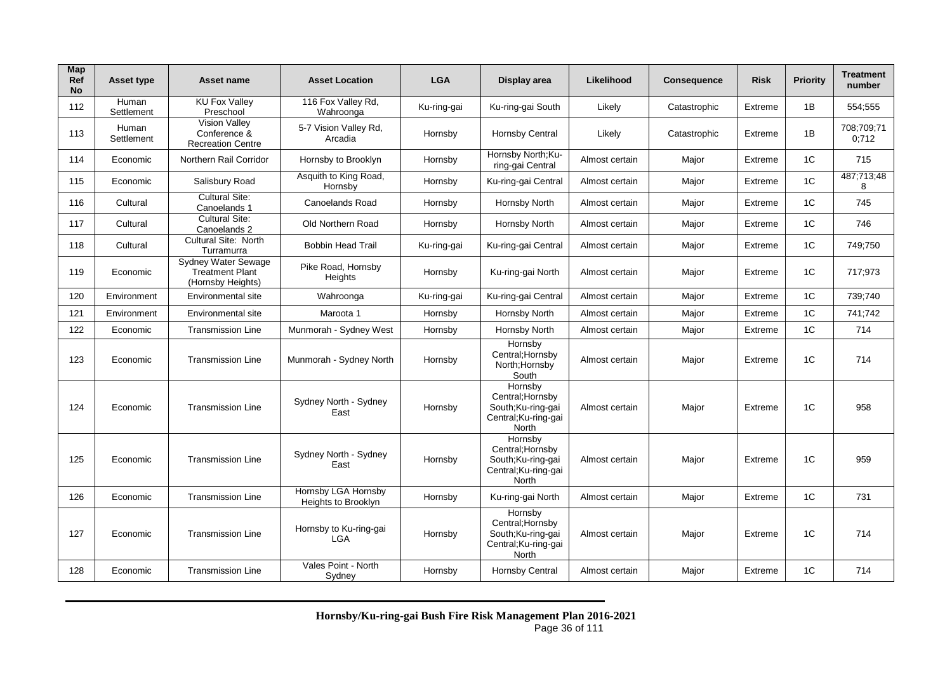| Map<br><b>Ref</b><br><b>No</b> | <b>Asset type</b>   | Asset name                                                         | <b>Asset Location</b>                      | <b>LGA</b>  | Display area                                                                      | Likelihood     | <b>Consequence</b> | <b>Risk</b> | <b>Priority</b> | <b>Treatment</b><br>number |
|--------------------------------|---------------------|--------------------------------------------------------------------|--------------------------------------------|-------------|-----------------------------------------------------------------------------------|----------------|--------------------|-------------|-----------------|----------------------------|
| 112                            | Human<br>Settlement | <b>KU Fox Valley</b><br>Preschool                                  | 116 Fox Valley Rd,<br>Wahroonga            | Ku-ring-gai | Ku-ring-gai South                                                                 | Likely         | Catastrophic       | Extreme     | 1B              | 554;555                    |
| 113                            | Human<br>Settlement | <b>Vision Vallev</b><br>Conference &<br><b>Recreation Centre</b>   | 5-7 Vision Valley Rd,<br>Arcadia           | Hornsby     | <b>Hornsby Central</b>                                                            | Likely         | Catastrophic       | Extreme     | 1B              | 708;709;71<br>0:712        |
| 114                            | Economic            | Northern Rail Corridor                                             | Hornsby to Brooklyn                        | Hornsby     | Hornsby North;Ku-<br>ring-gai Central                                             | Almost certain | Major              | Extreme     | 1C              | 715                        |
| 115                            | Economic            | Salisbury Road                                                     | Asquith to King Road,<br>Hornsby           | Hornsby     | Ku-ring-gai Central                                                               | Almost certain | Major              | Extreme     | 1 <sup>C</sup>  | 487;713;48<br>8            |
| 116                            | Cultural            | <b>Cultural Site:</b><br>Canoelands 1                              | Canoelands Road                            | Hornsby     | Hornsby North                                                                     | Almost certain | Major              | Extreme     | 1C              | 745                        |
| 117                            | Cultural            | <b>Cultural Site:</b><br>Canoelands 2                              | <b>Old Northern Road</b>                   | Hornsby     | Hornsby North                                                                     | Almost certain | Major              | Extreme     | 1C              | 746                        |
| 118                            | Cultural            | <b>Cultural Site: North</b><br>Turramurra                          | <b>Bobbin Head Trail</b>                   | Ku-ring-gai | Ku-ring-gai Central                                                               | Almost certain | Major              | Extreme     | 1C              | 749;750                    |
| 119                            | Economic            | Sydney Water Sewage<br><b>Treatment Plant</b><br>(Hornsby Heights) | Pike Road, Hornsby<br>Heights              | Hornsby     | Ku-ring-gai North                                                                 | Almost certain | Major              | Extreme     | 1C              | 717;973                    |
| 120                            | Environment         | Environmental site                                                 | Wahroonga                                  | Ku-ring-gai | Ku-ring-gai Central                                                               | Almost certain | Major              | Extreme     | 1C              | 739;740                    |
| 121                            | Environment         | Environmental site                                                 | Maroota 1                                  | Hornsby     | Hornsby North                                                                     | Almost certain | Major              | Extreme     | 1 <sup>C</sup>  | 741;742                    |
| 122                            | Economic            | <b>Transmission Line</b>                                           | Munmorah - Sydney West                     | Hornsby     | Hornsby North                                                                     | Almost certain | Major              | Extreme     | 1C              | 714                        |
| 123                            | Economic            | <b>Transmission Line</b>                                           | Munmorah - Sydney North                    | Hornsby     | Hornsby<br>Central; Hornsby<br>North; Hornsby<br>South                            | Almost certain | Major              | Extreme     | 1C              | 714                        |
| 124                            | Economic            | <b>Transmission Line</b>                                           | Sydney North - Sydney<br>East              | Hornsby     | Hornsby<br>Central; Hornsby<br>South;Ku-ring-gai<br>Central; Ku-ring-gai<br>North | Almost certain | Major              | Extreme     | 1C              | 958                        |
| 125                            | Economic            | <b>Transmission Line</b>                                           | Sydney North - Sydney<br>East              | Hornsby     | Hornsby<br>Central: Hornsby<br>South:Ku-ring-gai<br>Central;Ku-ring-gai<br>North  | Almost certain | Major              | Extreme     | 1C              | 959                        |
| 126                            | Economic            | <b>Transmission Line</b>                                           | Hornsby LGA Hornsby<br>Heights to Brooklyn | Hornsby     | Ku-ring-gai North                                                                 | Almost certain | Major              | Extreme     | 1C              | 731                        |
| 127                            | Economic            | <b>Transmission Line</b>                                           | Hornsby to Ku-ring-gai<br><b>LGA</b>       | Hornsby     | Hornsby<br>Central; Hornsby<br>South;Ku-ring-gai<br>Central; Ku-ring-gai<br>North | Almost certain | Major              | Extreme     | 1C              | 714                        |
| 128                            | Economic            | <b>Transmission Line</b>                                           | Vales Point - North<br>Sydney              | Hornsby     | <b>Hornsby Central</b>                                                            | Almost certain | Major              | Extreme     | 1 <sup>C</sup>  | 714                        |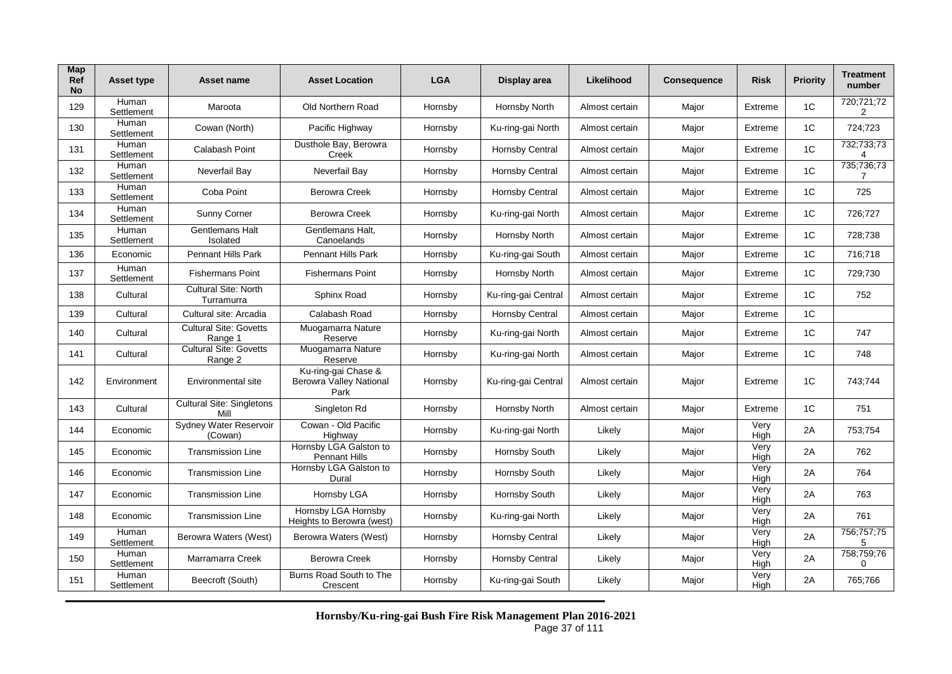| Map<br>Ref<br><b>No</b> | Asset type          | Asset name                                | <b>Asset Location</b>                                         | <b>LGA</b> | Display area        | Likelihood     | <b>Consequence</b> | <b>Risk</b>  | <b>Priority</b> | <b>Treatment</b><br>number |
|-------------------------|---------------------|-------------------------------------------|---------------------------------------------------------------|------------|---------------------|----------------|--------------------|--------------|-----------------|----------------------------|
| 129                     | Human<br>Settlement | Maroota                                   | <b>Old Northern Road</b>                                      | Hornsby    | Hornsby North       | Almost certain | Major              | Extreme      | 1C              | 720;721;72<br>2            |
| 130                     | Human<br>Settlement | Cowan (North)                             | Pacific Highway                                               | Hornsby    | Ku-ring-gai North   | Almost certain | Major              | Extreme      | 1C              | 724;723                    |
| 131                     | Human<br>Settlement | Calabash Point                            | Dusthole Bay, Berowra<br>Creek                                | Hornsby    | Hornsby Central     | Almost certain | Major              | Extreme      | 1 <sup>C</sup>  | 732;733;73<br>4            |
| 132                     | Human<br>Settlement | Neverfail Bay                             | Neverfail Bay                                                 | Hornsby    | Hornsby Central     | Almost certain | Major              | Extreme      | 1 <sup>C</sup>  | 735;736;73<br>7            |
| 133                     | Human<br>Settlement | Coba Point                                | <b>Berowra Creek</b>                                          | Hornsby    | Hornsby Central     | Almost certain | Major              | Extreme      | 1 <sup>C</sup>  | 725                        |
| 134                     | Human<br>Settlement | Sunny Corner                              | <b>Berowra Creek</b>                                          | Hornsby    | Ku-ring-gai North   | Almost certain | Major              | Extreme      | 1C              | 726;727                    |
| 135                     | Human<br>Settlement | Gentlemans Halt<br>Isolated               | Gentlemans Halt,<br>Canoelands                                | Hornsby    | Hornsby North       | Almost certain | Major              | Extreme      | 1C              | 728;738                    |
| 136                     | Economic            | <b>Pennant Hills Park</b>                 | <b>Pennant Hills Park</b>                                     | Hornsby    | Ku-ring-gai South   | Almost certain | Major              | Extreme      | 1C              | 716:718                    |
| 137                     | Human<br>Settlement | <b>Fishermans Point</b>                   | <b>Fishermans Point</b>                                       | Hornsby    | Hornsby North       | Almost certain | Major              | Extreme      | 1 <sup>C</sup>  | 729;730                    |
| 138                     | Cultural            | <b>Cultural Site: North</b><br>Turramurra | Sphinx Road                                                   | Hornsby    | Ku-ring-gai Central | Almost certain | Major              | Extreme      | 1 <sup>C</sup>  | 752                        |
| 139                     | Cultural            | Cultural site: Arcadia                    | Calabash Road                                                 | Hornsby    | Hornsby Central     | Almost certain | Major              | Extreme      | 1 <sup>C</sup>  |                            |
| 140                     | Cultural            | <b>Cultural Site: Govetts</b><br>Range 1  | Muogamarra Nature<br>Reserve                                  | Hornsby    | Ku-ring-gai North   | Almost certain | Major              | Extreme      | 1 <sup>C</sup>  | 747                        |
| 141                     | Cultural            | Cultural Site: Govetts<br>Range 2         | Muogamarra Nature<br>Reserve                                  | Hornsby    | Ku-ring-gai North   | Almost certain | Major              | Extreme      | 1C              | 748                        |
| 142                     | Environment         | Environmental site                        | Ku-ring-gai Chase &<br><b>Berowra Valley National</b><br>Park | Hornsby    | Ku-ring-gai Central | Almost certain | Major              | Extreme      | 1C              | 743:744                    |
| 143                     | Cultural            | <b>Cultural Site: Singletons</b><br>Mil   | Singleton Rd                                                  | Hornsby    | Hornsby North       | Almost certain | Major              | Extreme      | 1 <sup>C</sup>  | 751                        |
| 144                     | Economic            | Sydney Water Reservoir<br>(Cowan)         | Cowan - Old Pacific<br>Highway                                | Hornsby    | Ku-ring-gai North   | Likely         | Major              | Very<br>High | 2A              | 753;754                    |
| 145                     | Economic            | <b>Transmission Line</b>                  | Hornsby LGA Galston to<br><b>Pennant Hills</b>                | Hornsby    | Hornsby South       | Likely         | Major              | Very<br>High | 2A              | 762                        |
| 146                     | Economic            | <b>Transmission Line</b>                  | Hornsby LGA Galston to<br>Dural                               | Hornsby    | Hornsby South       | Likely         | Major              | Very<br>High | 2A              | 764                        |
| 147                     | Economic            | <b>Transmission Line</b>                  | Hornsby LGA                                                   | Hornsby    | Hornsby South       | Likely         | Major              | Very<br>High | 2A              | 763                        |
| 148                     | Economic            | <b>Transmission Line</b>                  | Hornsby LGA Hornsby<br>Heights to Berowra (west)              | Hornsby    | Ku-ring-gai North   | Likely         | Major              | Very<br>High | 2A              | 761                        |
| 149                     | Human<br>Settlement | Berowra Waters (West)                     | Berowra Waters (West)                                         | Hornsby    | Hornsby Central     | Likely         | Major              | Very<br>High | 2A              | 756;757;75<br>5            |
| 150                     | Human<br>Settlement | Marramarra Creek                          | <b>Berowra Creek</b>                                          | Hornsby    | Hornsby Central     | Likely         | Major              | Very<br>High | 2A              | 758;759;76<br>$\Omega$     |
| 151                     | Human<br>Settlement | Beecroft (South)                          | Burns Road South to The<br>Crescent                           | Hornsby    | Ku-ring-gai South   | Likely         | Major              | Very<br>High | 2A              | 765;766                    |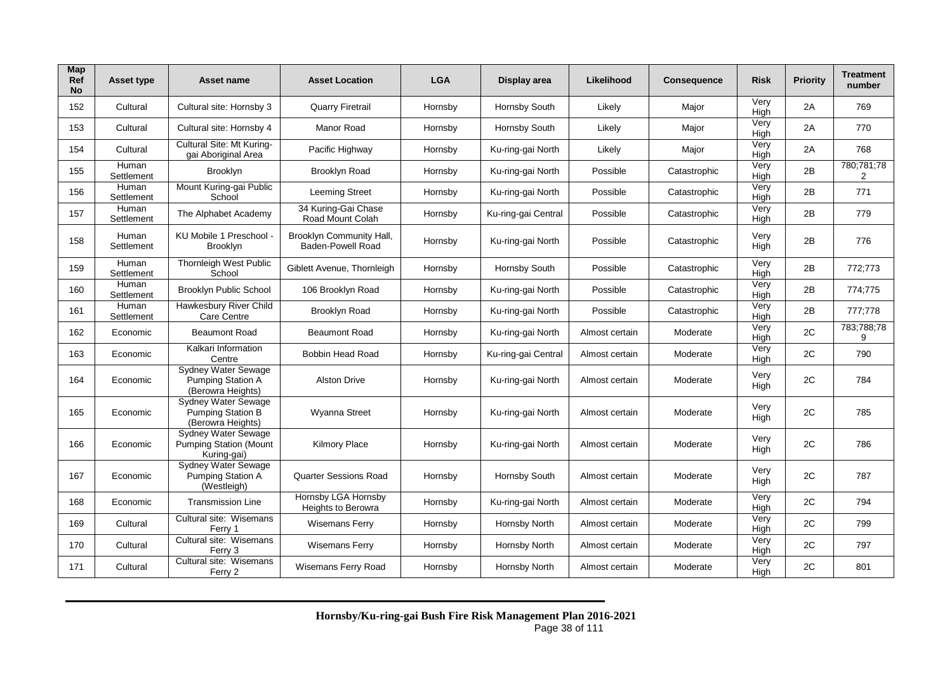| Map<br><b>Ref</b><br><b>No</b> | <b>Asset type</b>   | Asset name                                                                  | <b>Asset Location</b>                                | <b>LGA</b> | Display area        | Likelihood     | <b>Consequence</b> | <b>Risk</b>         | <b>Priority</b> | <b>Treatment</b><br>number |
|--------------------------------|---------------------|-----------------------------------------------------------------------------|------------------------------------------------------|------------|---------------------|----------------|--------------------|---------------------|-----------------|----------------------------|
| 152                            | Cultural            | Cultural site: Hornsby 3                                                    | <b>Quarry Firetrail</b>                              | Hornsby    | Hornsby South       | Likely         | Major              | Very<br>High        | 2A              | 769                        |
| 153                            | Cultural            | Cultural site: Hornsby 4                                                    | Manor Road                                           | Hornsby    | Hornsby South       | Likely         | Major              | Very<br>High        | 2A              | 770                        |
| 154                            | Cultural            | Cultural Site: Mt Kuring-<br>gai Aboriginal Area                            | Pacific Highway                                      | Hornsby    | Ku-ring-gai North   | Likely         | Major              | Very<br>High        | 2A              | 768                        |
| 155                            | Human<br>Settlement | <b>Brooklyn</b>                                                             | <b>Brooklyn Road</b>                                 | Hornsby    | Ku-ring-gai North   | Possible       | Catastrophic       | Very<br><b>High</b> | 2B              | 780;781;78<br>2            |
| 156                            | Human<br>Settlement | Mount Kuring-gai Public<br>School                                           | <b>Leeming Street</b>                                | Hornsby    | Ku-ring-gai North   | Possible       | Catastrophic       | Very<br>High        | 2B              | 771                        |
| 157                            | Human<br>Settlement | The Alphabet Academy                                                        | 34 Kuring-Gai Chase<br>Road Mount Colah              | Hornsby    | Ku-ring-gai Central | Possible       | Catastrophic       | Very<br>High        | 2B              | 779                        |
| 158                            | Human<br>Settlement | KU Mobile 1 Preschool<br><b>Brooklyn</b>                                    | Brooklyn Community Hall,<br><b>Baden-Powell Road</b> | Hornsby    | Ku-ring-gai North   | Possible       | Catastrophic       | Very<br>High        | 2B              | 776                        |
| 159                            | Human<br>Settlement | <b>Thornleigh West Public</b><br>School                                     | Giblett Avenue, Thornleigh                           | Hornsby    | Hornsby South       | Possible       | Catastrophic       | Very<br>High        | 2B              | 772;773                    |
| 160                            | Human<br>Settlement | <b>Brooklyn Public School</b>                                               | 106 Brooklyn Road                                    | Hornsby    | Ku-ring-gai North   | Possible       | Catastrophic       | Very<br>High        | 2B              | 774;775                    |
| 161                            | Human<br>Settlement | Hawkesbury River Child<br>Care Centre                                       | Brooklyn Road                                        | Hornsby    | Ku-ring-gai North   | Possible       | Catastrophic       | Very<br>High        | 2B              | 777;778                    |
| 162                            | Economic            | <b>Beaumont Road</b>                                                        | <b>Beaumont Road</b>                                 | Hornsby    | Ku-ring-gai North   | Almost certain | Moderate           | Very<br>High        | 2C              | 783;788;78<br>9            |
| 163                            | Economic            | Kalkari Information<br>Centre                                               | Bobbin Head Road                                     | Hornsby    | Ku-ring-gai Central | Almost certain | Moderate           | Very<br>Hiah        | 2C              | 790                        |
| 164                            | Economic            | Sydney Water Sewage<br><b>Pumping Station A</b><br>(Berowra Heights)        | <b>Alston Drive</b>                                  | Hornsby    | Ku-ring-gai North   | Almost certain | Moderate           | Very<br>High        | 2C              | 784                        |
| 165                            | Economic            | <b>Sydney Water Sewage</b><br><b>Pumping Station B</b><br>(Berowra Heights) | <b>Wyanna Street</b>                                 | Hornsby    | Ku-ring-gai North   | Almost certain | Moderate           | Very<br>High        | 2C              | 785                        |
| 166                            | Economic            | Sydney Water Sewage<br><b>Pumping Station (Mount</b><br>Kuring-gai)         | <b>Kilmory Place</b>                                 | Hornsby    | Ku-ring-gai North   | Almost certain | Moderate           | Very<br>High        | 2C              | 786                        |
| 167                            | Economic            | <b>Sydney Water Sewage</b><br><b>Pumping Station A</b><br>(Westleigh)       | <b>Quarter Sessions Road</b>                         | Hornsby    | Hornsby South       | Almost certain | Moderate           | Very<br>High        | 2C              | 787                        |
| 168                            | Economic            | <b>Transmission Line</b>                                                    | Hornsby LGA Hornsby<br><b>Heights to Berowra</b>     | Hornsby    | Ku-ring-gai North   | Almost certain | Moderate           | Very<br>High        | 2C              | 794                        |
| 169                            | Cultural            | Cultural site: Wisemans<br>Ferry 1                                          | <b>Wisemans Ferry</b>                                | Hornsby    | Hornsby North       | Almost certain | Moderate           | Very<br>High        | 2C              | 799                        |
| 170                            | Cultural            | Cultural site: Wisemans<br>Ferry 3                                          | <b>Wisemans Ferry</b>                                | Hornsby    | Hornsby North       | Almost certain | Moderate           | Very<br>High        | 2C              | 797                        |
| 171                            | Cultural            | Cultural site: Wisemans<br>Ferry 2                                          | Wisemans Ferry Road                                  | Hornsby    | Hornsby North       | Almost certain | Moderate           | Very<br>Hiah        | 2C              | 801                        |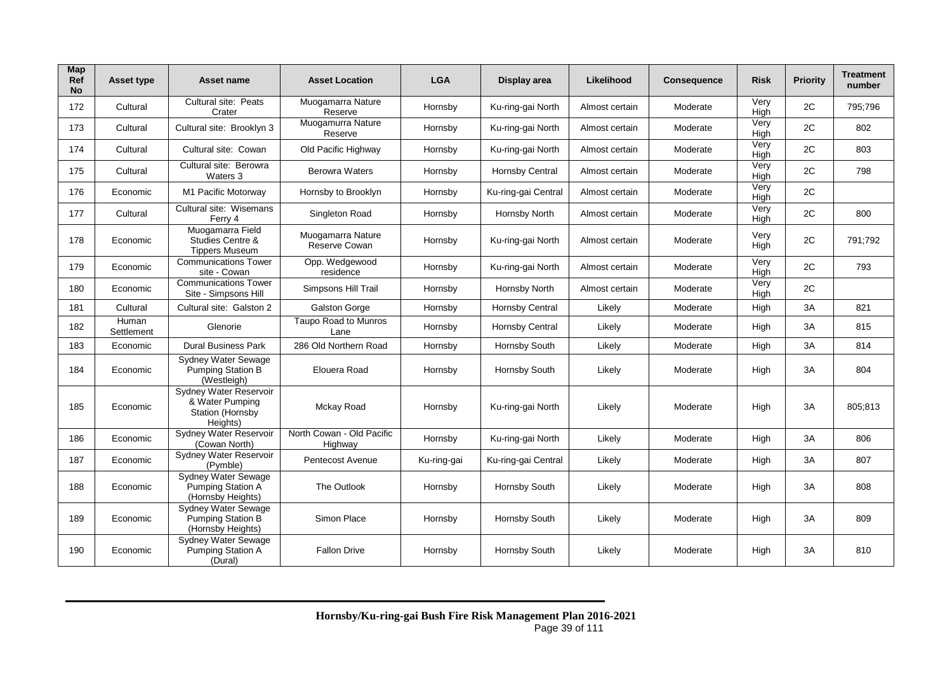| Map<br>Ref<br><b>No</b> | <b>Asset type</b>   | Asset name                                                                  | <b>Asset Location</b>                | <b>LGA</b>  | Display area           | Likelihood     | <b>Consequence</b> | <b>Risk</b>         | Priority | Treatment<br>number |
|-------------------------|---------------------|-----------------------------------------------------------------------------|--------------------------------------|-------------|------------------------|----------------|--------------------|---------------------|----------|---------------------|
| 172                     | Cultural            | Cultural site: Peats<br>Crater                                              | Muogamarra Nature<br>Reserve         | Hornsby     | Ku-ring-gai North      | Almost certain | Moderate           | Very<br>High        | 2C       | 795;796             |
| 173                     | Cultural            | Cultural site: Brooklyn 3                                                   | Muogamurra Nature<br>Reserve         | Hornsby     | Ku-ring-gai North      | Almost certain | Moderate           | Very<br>High        | 2C       | 802                 |
| 174                     | Cultural            | Cultural site: Cowan                                                        | Old Pacific Highway                  | Hornsby     | Ku-ring-gai North      | Almost certain | Moderate           | Very<br>High        | 2C       | 803                 |
| 175                     | Cultural            | Cultural site: Berowra<br>Waters 3                                          | <b>Berowra Waters</b>                | Hornsby     | <b>Hornsby Central</b> | Almost certain | Moderate           | Very<br>High        | 2C       | 798                 |
| 176                     | Economic            | M1 Pacific Motorway                                                         | Hornsby to Brooklyn                  | Hornsby     | Ku-ring-gai Central    | Almost certain | Moderate           | Very<br><b>High</b> | 2C       |                     |
| 177                     | Cultural            | Cultural site: Wisemans<br>Ferry 4                                          | Singleton Road                       | Hornsby     | Hornsby North          | Almost certain | Moderate           | Very<br>High        | 2C       | 800                 |
| 178                     | Economic            | Muogamarra Field<br>Studies Centre &<br><b>Tippers Museum</b>               | Muogamarra Nature<br>Reserve Cowan   | Hornsby     | Ku-ring-gai North      | Almost certain | Moderate           | Very<br>High        | 2C       | 791;792             |
| 179                     | Economic            | <b>Communications Tower</b><br>site - Cowan                                 | Opp. Wedgewood<br>residence          | Hornsby     | Ku-ring-gai North      | Almost certain | Moderate           | Very<br>High        | 2C       | 793                 |
| 180                     | Economic            | <b>Communications Tower</b><br>Site - Simpsons Hill                         | Simpsons Hill Trail                  | Hornsby     | Hornsby North          | Almost certain | Moderate           | Very<br>High        | 2C       |                     |
| 181                     | Cultural            | Cultural site: Galston 2                                                    | Galston Gorge                        | Hornsby     | <b>Hornsby Central</b> | Likely         | Moderate           | High                | 3A       | 821                 |
| 182                     | Human<br>Settlement | Glenorie                                                                    | Taupo Road to Munros<br>Lane         | Hornsby     | <b>Hornsby Central</b> | Likely         | Moderate           | High                | 3A       | 815                 |
| 183                     | Economic            | <b>Dural Business Park</b>                                                  | 286 Old Northern Road                | Hornsby     | Hornsby South          | Likely         | Moderate           | High                | 3A       | 814                 |
| 184                     | Economic            | Sydney Water Sewage<br><b>Pumping Station B</b><br>(Westleigh)              | Elouera Road                         | Hornsby     | Hornsby South          | Likely         | Moderate           | High                | 3A       | 804                 |
| 185                     | Economic            | Sydney Water Reservoir<br>& Water Pumping<br>Station (Hornsby<br>Heights)   | Mckay Road                           | Hornsby     | Ku-ring-gai North      | Likely         | Moderate           | High                | 3A       | 805;813             |
| 186                     | Economic            | Sydney Water Reservoir<br>(Cowan North)                                     | North Cowan - Old Pacific<br>Highway | Hornsby     | Ku-ring-gai North      | Likely         | Moderate           | High                | 3A       | 806                 |
| 187                     | Economic            | Sydney Water Reservoir<br>(Pymble)                                          | Pentecost Avenue                     | Ku-ring-gai | Ku-ring-gai Central    | Likely         | Moderate           | High                | 3A       | 807                 |
| 188                     | Economic            | Sydney Water Sewage<br>Pumping Station A<br>(Hornsby Heights)               | The Outlook                          | Hornsby     | Hornsby South          | Likely         | Moderate           | High                | 3A       | 808                 |
| 189                     | Economic            | <b>Sydney Water Sewage</b><br><b>Pumping Station B</b><br>(Hornsby Heights) | Simon Place                          | Hornsby     | Hornsby South          | Likely         | Moderate           | High                | 3A       | 809                 |
| 190                     | Economic            | <b>Sydney Water Sewage</b><br>Pumping Station A<br>(Dural)                  | <b>Fallon Drive</b>                  | Hornsby     | Hornsby South          | Likely         | Moderate           | High                | 3A       | 810                 |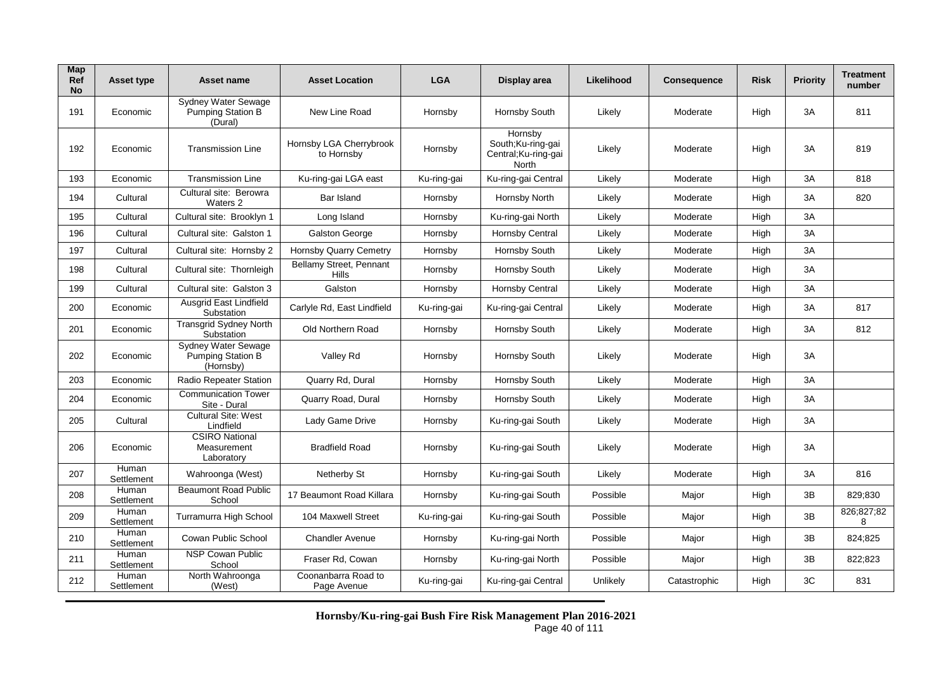| Map<br>Ref<br>No | <b>Asset type</b>   | Asset name                                                   | <b>Asset Location</b>                 | <b>LGA</b>  | Display area                                                         | Likelihood | <b>Consequence</b> | <b>Risk</b> | <b>Priority</b> | <b>Treatment</b><br>number |
|------------------|---------------------|--------------------------------------------------------------|---------------------------------------|-------------|----------------------------------------------------------------------|------------|--------------------|-------------|-----------------|----------------------------|
| 191              | Economic            | <b>Sydney Water Sewage</b><br>Pumping Station B<br>(Dural)   | New Line Road                         | Hornsby     | Hornsby South                                                        | Likely     | Moderate           | High        | 3A              | 811                        |
| 192              | Economic            | <b>Transmission Line</b>                                     | Hornsby LGA Cherrybrook<br>to Hornsby | Hornsby     | Hornsby<br>South;Ku-ring-gai<br>Central; Ku-ring-gai<br><b>North</b> | Likely     | Moderate           | High        | 3A              | 819                        |
| 193              | Economic            | <b>Transmission Line</b>                                     | Ku-ring-gai LGA east                  | Ku-ring-gai | Ku-ring-gai Central                                                  | Likely     | Moderate           | High        | 3A              | 818                        |
| 194              | Cultural            | Cultural site: Berowra<br>Waters 2                           | Bar Island                            | Hornsby     | Hornsby North                                                        | Likely     | Moderate           | High        | 3A              | 820                        |
| 195              | Cultural            | Cultural site: Brooklyn 1                                    | Long Island                           | Hornsby     | Ku-ring-gai North                                                    | Likely     | Moderate           | High        | 3A              |                            |
| 196              | Cultural            | Cultural site: Galston 1                                     | Galston George                        | Hornsby     | <b>Hornsby Central</b>                                               | Likely     | Moderate           | High        | 3A              |                            |
| 197              | Cultural            | Cultural site: Hornsby 2                                     | <b>Hornsby Quarry Cemetry</b>         | Hornsby     | Hornsby South                                                        | Likely     | Moderate           | High        | 3A              |                            |
| 198              | Cultural            | Cultural site: Thornleigh                                    | Bellamy Street, Pennant<br>Hills      | Hornsby     | Hornsby South                                                        | Likely     | Moderate           | High        | 3A              |                            |
| 199              | Cultural            | Cultural site: Galston 3                                     | Galston                               | Hornsby     | Hornsby Central                                                      | Likely     | Moderate           | High        | 3A              |                            |
| 200              | Economic            | Ausgrid East Lindfield<br>Substation                         | Carlyle Rd, East Lindfield            | Ku-ring-gai | Ku-ring-gai Central                                                  | Likely     | Moderate           | High        | 3A              | 817                        |
| 201              | Economic            | <b>Transgrid Sydney North</b><br>Substation                  | Old Northern Road                     | Hornsby     | Hornsby South                                                        | Likely     | Moderate           | High        | 3A              | 812                        |
| 202              | Economic            | Sydney Water Sewage<br><b>Pumping Station B</b><br>(Hornsby) | Valley Rd                             | Hornsby     | Hornsby South                                                        | Likely     | Moderate           | High        | 3A              |                            |
| 203              | Economic            | Radio Repeater Station                                       | Quarry Rd, Dural                      | Hornsby     | Hornsby South                                                        | Likely     | Moderate           | High        | 3A              |                            |
| 204              | Economic            | <b>Communication Tower</b><br>Site - Dural                   | Quarry Road, Dural                    | Hornsby     | Hornsby South                                                        | Likely     | Moderate           | High        | 3A              |                            |
| 205              | Cultural            | <b>Cultural Site: West</b><br>Lindfield                      | Lady Game Drive                       | Hornsby     | Ku-ring-gai South                                                    | Likely     | Moderate           | High        | 3A              |                            |
| 206              | Economic            | <b>CSIRO National</b><br>Measurement<br>Laboratory           | <b>Bradfield Road</b>                 | Hornsby     | Ku-ring-gai South                                                    | Likely     | Moderate           | High        | 3A              |                            |
| 207              | Human<br>Settlement | Wahroonga (West)                                             | Netherby St                           | Hornsby     | Ku-ring-gai South                                                    | Likely     | Moderate           | High        | 3A              | 816                        |
| 208              | Human<br>Settlement | <b>Beaumont Road Public</b><br>School                        | 17 Beaumont Road Killara              | Hornsby     | Ku-ring-gai South                                                    | Possible   | Major              | High        | 3B              | 829;830                    |
| 209              | Human<br>Settlement | Turramurra High School                                       | 104 Maxwell Street                    | Ku-ring-gai | Ku-ring-gai South                                                    | Possible   | Major              | High        | 3B              | 826:827:82<br>8            |
| 210              | Human<br>Settlement | Cowan Public School                                          | <b>Chandler Avenue</b>                | Hornsby     | Ku-ring-gai North                                                    | Possible   | Major              | High        | 3B              | 824:825                    |
| 211              | Human<br>Settlement | <b>NSP Cowan Public</b><br>School                            | Fraser Rd, Cowan                      | Hornsby     | Ku-ring-gai North                                                    | Possible   | Major              | High        | 3B              | 822:823                    |
| 212              | Human<br>Settlement | North Wahroonga<br>(West)                                    | Coonanbarra Road to<br>Page Avenue    | Ku-ring-gai | Ku-ring-gai Central                                                  | Unlikely   | Catastrophic       | High        | 3C              | 831                        |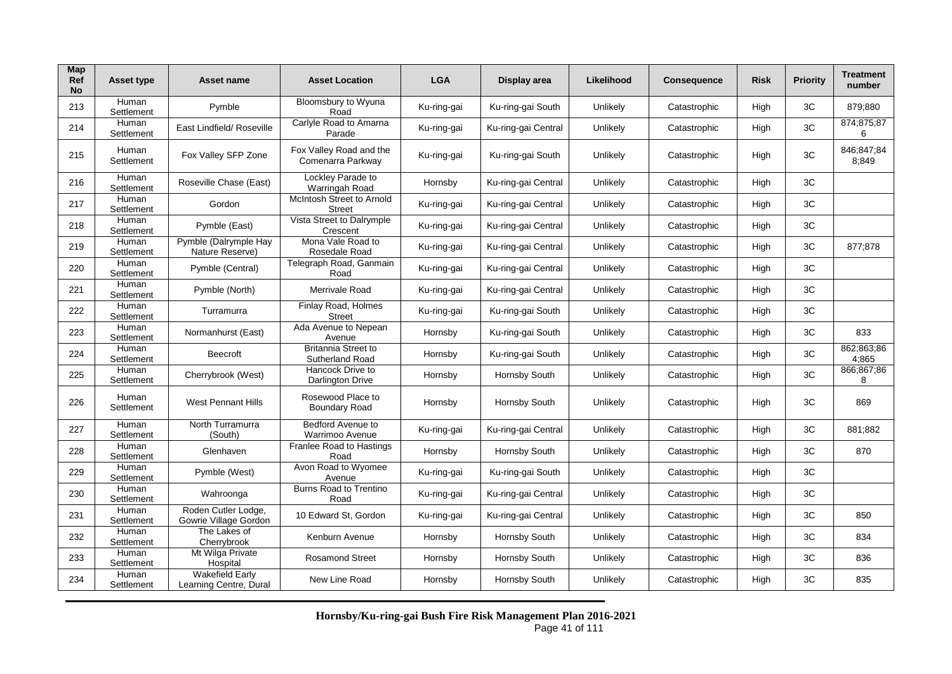| Map<br>Ref<br>No | Asset type          | Asset name                                       | <b>Asset Location</b>                                | <b>LGA</b>  | Display area        | Likelihood | <b>Consequence</b> | <b>Risk</b> | <b>Priority</b> | <b>Treatment</b><br>number |
|------------------|---------------------|--------------------------------------------------|------------------------------------------------------|-------------|---------------------|------------|--------------------|-------------|-----------------|----------------------------|
| 213              | Human<br>Settlement | Pymble                                           | Bloomsbury to Wyuna<br>Road                          | Ku-ring-gai | Ku-ring-gai South   | Unlikely   | Catastrophic       | High        | 3C              | 879;880                    |
| 214              | Human<br>Settlement | East Lindfield/ Roseville                        | Carlyle Road to Amarna<br>Parade                     | Ku-ring-gai | Ku-ring-gai Central | Unlikely   | Catastrophic       | High        | 3C              | 874;875;87<br>6            |
| 215              | Human<br>Settlement | Fox Valley SFP Zone                              | Fox Valley Road and the<br>Comenarra Parkway         | Ku-ring-gai | Ku-ring-gai South   | Unlikely   | Catastrophic       | High        | 3C              | 846;847;84<br>8:849        |
| 216              | Human<br>Settlement | Roseville Chase (East)                           | Lockley Parade to<br>Warringah Road                  | Hornsby     | Ku-ring-gai Central | Unlikely   | Catastrophic       | High        | 3C              |                            |
| 217              | Human<br>Settlement | Gordon                                           | McIntosh Street to Arnold<br><b>Street</b>           | Ku-ring-gai | Ku-ring-gai Central | Unlikely   | Catastrophic       | High        | 3C              |                            |
| 218              | Human<br>Settlement | Pymble (East)                                    | Vista Street to Dalrymple<br>Crescent                | Ku-ring-gai | Ku-ring-gai Central | Unlikely   | Catastrophic       | High        | 3C              |                            |
| 219              | Human<br>Settlement | Pymble (Dalrymple Hay<br>Nature Reserve)         | Mona Vale Road to<br>Rosedale Road                   | Ku-ring-gai | Ku-ring-gai Central | Unlikely   | Catastrophic       | High        | 3C              | 877;878                    |
| 220              | Human<br>Settlement | Pymble (Central)                                 | Telegraph Road, Ganmain<br>Road                      | Ku-ring-gai | Ku-ring-gai Central | Unlikely   | Catastrophic       | High        | 3C              |                            |
| 221              | Human<br>Settlement | Pymble (North)                                   | Merrivale Road                                       | Ku-ring-gai | Ku-ring-gai Central | Unlikely   | Catastrophic       | High        | 3C              |                            |
| 222              | Human<br>Settlement | Turramurra                                       | Finlay Road, Holmes<br><b>Street</b>                 | Ku-ring-gai | Ku-ring-gai South   | Unlikely   | Catastrophic       | High        | 3C              |                            |
| 223              | Human<br>Settlement | Normanhurst (East)                               | Ada Avenue to Nepean<br>Avenue                       | Hornsby     | Ku-ring-gai South   | Unlikely   | Catastrophic       | High        | 3C              | 833                        |
| 224              | Human<br>Settlement | <b>Beecroft</b>                                  | <b>Britannia Street to</b><br><b>Sutherland Road</b> | Hornsby     | Ku-ring-gai South   | Unlikely   | Catastrophic       | High        | 3C              | 862;863;86<br>4,865        |
| 225              | Human<br>Settlement | Cherrybrook (West)                               | Hancock Drive to<br><b>Darlington Drive</b>          | Hornsby     | Hornsby South       | Unlikely   | Catastrophic       | High        | 3C              | 866;867;86<br>8            |
| 226              | Human<br>Settlement | <b>West Pennant Hills</b>                        | Rosewood Place to<br><b>Boundary Road</b>            | Hornsby     | Hornsby South       | Unlikely   | Catastrophic       | High        | 3C              | 869                        |
| 227              | Human<br>Settlement | North Turramurra<br>(South)                      | Bedford Avenue to<br>Warrimoo Avenue                 | Ku-ring-gai | Ku-ring-gai Central | Unlikely   | Catastrophic       | High        | 3C              | 881;882                    |
| 228              | Human<br>Settlement | Glenhaven                                        | Franlee Road to Hastings<br>Road                     | Hornsby     | Hornsby South       | Unlikely   | Catastrophic       | High        | 3C              | 870                        |
| 229              | Human<br>Settlement | Pymble (West)                                    | Avon Road to Wyomee<br>Avenue                        | Ku-ring-gai | Ku-ring-gai South   | Unlikely   | Catastrophic       | High        | 3C              |                            |
| 230              | Human<br>Settlement | Wahroonga                                        | <b>Burns Road to Trentino</b><br>Road                | Ku-ring-gai | Ku-ring-gai Central | Unlikely   | Catastrophic       | High        | 3C              |                            |
| 231              | Human<br>Settlement | Roden Cutler Lodge,<br>Gowrie Village Gordon     | 10 Edward St, Gordon                                 | Ku-ring-gai | Ku-ring-gai Central | Unlikely   | Catastrophic       | High        | 3C              | 850                        |
| 232              | Human<br>Settlement | The Lakes of<br>Cherrybrook                      | Kenburn Avenue                                       | Hornsby     | Hornsby South       | Unlikely   | Catastrophic       | High        | 3C              | 834                        |
| 233              | Human<br>Settlement | Mt Wilga Private<br>Hospital                     | <b>Rosamond Street</b>                               | Hornsby     | Hornsby South       | Unlikely   | Catastrophic       | High        | 3C              | 836                        |
| 234              | Human<br>Settlement | <b>Wakefield Early</b><br>Learning Centre, Dural | New Line Road                                        | Hornsby     | Hornsby South       | Unlikely   | Catastrophic       | High        | 3C              | 835                        |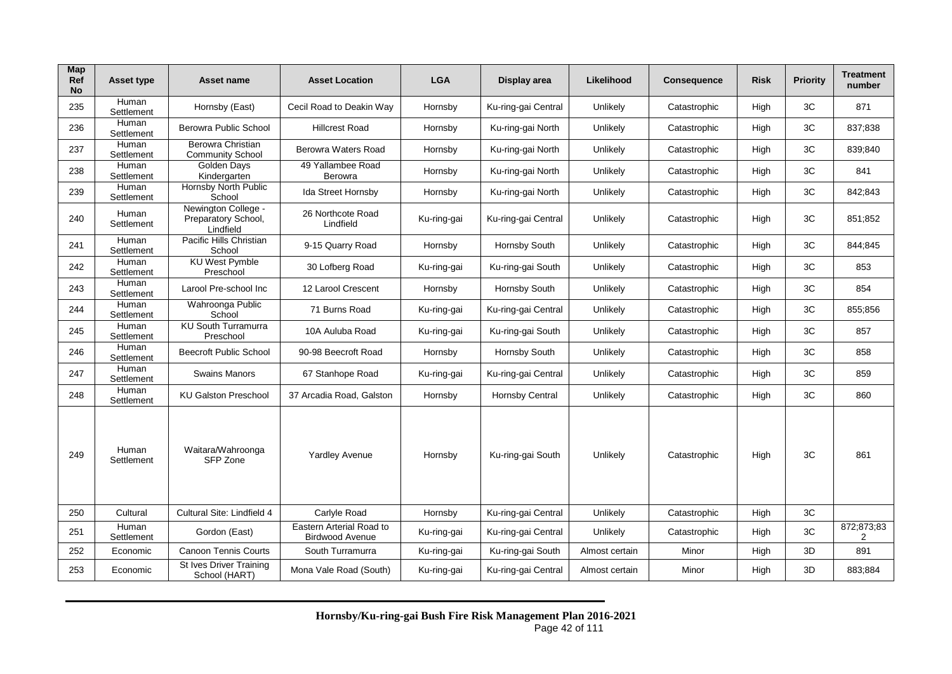| Map<br>Ref<br><b>No</b> | <b>Asset type</b>   | Asset name                                              | <b>Asset Location</b>                              | <b>LGA</b>  | Display area        | Likelihood     | <b>Consequence</b> | <b>Risk</b> | <b>Priority</b> | <b>Treatment</b><br>number |
|-------------------------|---------------------|---------------------------------------------------------|----------------------------------------------------|-------------|---------------------|----------------|--------------------|-------------|-----------------|----------------------------|
| 235                     | Human<br>Settlement | Hornsby (East)                                          | Cecil Road to Deakin Way                           | Hornsby     | Ku-ring-gai Central | Unlikely       | Catastrophic       | High        | 3C              | 871                        |
| 236                     | Human<br>Settlement | Berowra Public School                                   | <b>Hillcrest Road</b>                              | Hornsby     | Ku-ring-gai North   | Unlikely       | Catastrophic       | High        | 3C              | 837;838                    |
| 237                     | Human<br>Settlement | Berowra Christian<br><b>Community School</b>            | Berowra Waters Road                                | Hornsby     | Ku-ring-gai North   | Unlikely       | Catastrophic       | High        | 3C              | 839:840                    |
| 238                     | Human<br>Settlement | <b>Golden Days</b><br>Kindergarten                      | 49 Yallambee Road<br>Berowra                       | Hornsby     | Ku-ring-gai North   | Unlikely       | Catastrophic       | High        | 3C              | 841                        |
| 239                     | Human<br>Settlement | Hornsby North Public<br>School                          | Ida Street Hornsby                                 | Hornsby     | Ku-ring-gai North   | Unlikely       | Catastrophic       | High        | 3C              | 842;843                    |
| 240                     | Human<br>Settlement | Newington College -<br>Preparatory School,<br>Lindfield | 26 Northcote Road<br>Lindfield                     | Ku-ring-gai | Ku-ring-gai Central | Unlikely       | Catastrophic       | High        | 3C              | 851,852                    |
| 241                     | Human<br>Settlement | Pacific Hills Christian<br>School                       | 9-15 Quarry Road                                   | Hornsby     | Hornsby South       | Unlikely       | Catastrophic       | High        | 3C              | 844;845                    |
| 242                     | Human<br>Settlement | <b>KU West Pymble</b><br>Preschool                      | 30 Lofberg Road                                    | Ku-ring-gai | Ku-ring-gai South   | Unlikely       | Catastrophic       | High        | 3C              | 853                        |
| 243                     | Human<br>Settlement | Larool Pre-school Inc                                   | 12 Larool Crescent                                 | Hornsby     | Hornsby South       | Unlikely       | Catastrophic       | High        | 3C              | 854                        |
| 244                     | Human<br>Settlement | Wahroonga Public<br>School                              | 71 Burns Road                                      | Ku-ring-gai | Ku-ring-gai Central | Unlikely       | Catastrophic       | High        | 3C              | 855:856                    |
| 245                     | Human<br>Settlement | <b>KU South Turramurra</b><br>Preschool                 | 10A Auluba Road                                    | Ku-ring-gai | Ku-ring-gai South   | Unlikely       | Catastrophic       | High        | 3C              | 857                        |
| 246                     | Human<br>Settlement | <b>Beecroft Public School</b>                           | 90-98 Beecroft Road                                | Hornsby     | Hornsby South       | Unlikely       | Catastrophic       | High        | 3C              | 858                        |
| 247                     | Human<br>Settlement | <b>Swains Manors</b>                                    | 67 Stanhope Road                                   | Ku-ring-gai | Ku-ring-gai Central | Unlikely       | Catastrophic       | High        | 3C              | 859                        |
| 248                     | Human<br>Settlement | <b>KU Galston Preschool</b>                             | 37 Arcadia Road, Galston                           | Hornsby     | Hornsby Central     | Unlikely       | Catastrophic       | High        | 3C              | 860                        |
| 249                     | Human<br>Settlement | Waitara/Wahroonga<br>SFP Zone                           | <b>Yardley Avenue</b>                              | Hornsby     | Ku-ring-gai South   | Unlikely       | Catastrophic       | High        | 3C              | 861                        |
| 250                     | Cultural            | Cultural Site: Lindfield 4                              | Carlyle Road                                       | Hornsby     | Ku-ring-gai Central | Unlikely       | Catastrophic       | High        | 3C              |                            |
| 251                     | Human<br>Settlement | Gordon (East)                                           | Eastern Arterial Road to<br><b>Birdwood Avenue</b> | Ku-ring-gai | Ku-ring-gai Central | Unlikely       | Catastrophic       | High        | 3C              | 872;873;83<br>2            |
| 252                     | Economic            | <b>Canoon Tennis Courts</b>                             | South Turramurra                                   | Ku-ring-gai | Ku-ring-gai South   | Almost certain | Minor              | High        | 3D              | 891                        |
| 253                     | Economic            | St Ives Driver Training<br>School (HART)                | Mona Vale Road (South)                             | Ku-ring-gai | Ku-ring-gai Central | Almost certain | Minor              | High        | 3D              | 883;884                    |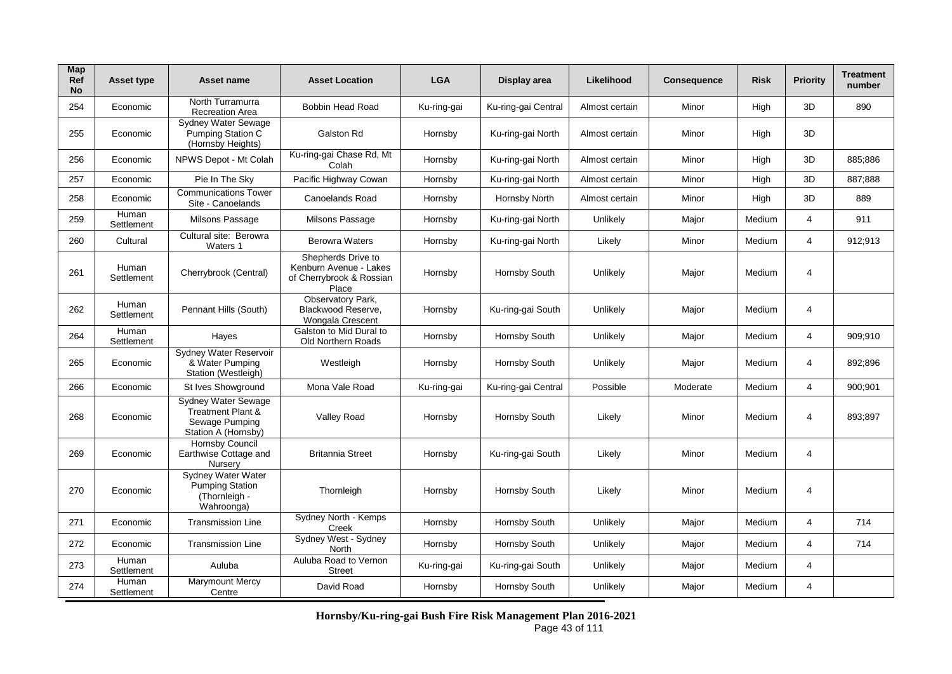| Map<br>Ref<br><b>No</b> | <b>Asset type</b>   | Asset name                                                                                   | <b>Asset Location</b>                                                             | <b>LGA</b>  | Display area        | Likelihood     | <b>Consequence</b> | <b>Risk</b> | <b>Priority</b> | <b>Treatment</b><br>number |
|-------------------------|---------------------|----------------------------------------------------------------------------------------------|-----------------------------------------------------------------------------------|-------------|---------------------|----------------|--------------------|-------------|-----------------|----------------------------|
| 254                     | Economic            | North Turramurra<br><b>Recreation Area</b>                                                   | Bobbin Head Road                                                                  | Ku-ring-gai | Ku-ring-gai Central | Almost certain | Minor              | High        | 3D              | 890                        |
| 255                     | Economic            | Sydney Water Sewage<br><b>Pumping Station C</b><br>(Hornsby Heights)                         | Galston Rd                                                                        | Hornsby     | Ku-ring-gai North   | Almost certain | Minor              | High        | 3D              |                            |
| 256                     | Economic            | NPWS Depot - Mt Colah                                                                        | Ku-ring-gai Chase Rd, Mt<br>Colah                                                 | Hornsby     | Ku-ring-gai North   | Almost certain | Minor              | High        | 3D              | 885:886                    |
| 257                     | Economic            | Pie In The Sky                                                                               | Pacific Highway Cowan                                                             | Hornsby     | Ku-ring-gai North   | Almost certain | Minor              | High        | 3D              | 887;888                    |
| 258                     | Economic            | <b>Communications Tower</b><br>Site - Canoelands                                             | Canoelands Road                                                                   | Hornsby     | Hornsby North       | Almost certain | Minor              | High        | 3D              | 889                        |
| 259                     | Human<br>Settlement | Milsons Passage                                                                              | Milsons Passage                                                                   | Hornsby     | Ku-ring-gai North   | Unlikely       | Major              | Medium      | 4               | 911                        |
| 260                     | Cultural            | Cultural site: Berowra<br>Waters 1                                                           | <b>Berowra Waters</b>                                                             | Hornsby     | Ku-ring-gai North   | Likely         | Minor              | Medium      | 4               | 912;913                    |
| 261                     | Human<br>Settlement | Cherrybrook (Central)                                                                        | Shepherds Drive to<br>Kenburn Avenue - Lakes<br>of Cherrybrook & Rossian<br>Place | Hornsby     | Hornsby South       | Unlikely       | Major              | Medium      | 4               |                            |
| 262                     | Human<br>Settlement | Pennant Hills (South)                                                                        | Observatory Park,<br>Blackwood Reserve.<br>Wongala Crescent                       | Hornsby     | Ku-ring-gai South   | Unlikely       | Major              | Medium      | 4               |                            |
| 264                     | Human<br>Settlement | Hayes                                                                                        | Galston to Mid Dural to<br>Old Northern Roads                                     | Hornsby     | Hornsby South       | Unlikely       | Major              | Medium      | 4               | 909;910                    |
| 265                     | Economic            | Sydney Water Reservoir<br>& Water Pumping<br>Station (Westleigh)                             | Westleigh                                                                         | Hornsby     | Hornsby South       | Unlikely       | Major              | Medium      | 4               | 892;896                    |
| 266                     | Economic            | St Ives Showground                                                                           | Mona Vale Road                                                                    | Ku-ring-gai | Ku-ring-gai Central | Possible       | Moderate           | Medium      | 4               | 900:901                    |
| 268                     | Economic            | Sydney Water Sewage<br><b>Treatment Plant &amp;</b><br>Sewage Pumping<br>Station A (Hornsby) | Valley Road                                                                       | Hornsby     | Hornsby South       | Likely         | Minor              | Medium      | 4               | 893;897                    |
| 269                     | Economic            | <b>Hornsby Council</b><br>Earthwise Cottage and<br>Nursery                                   | <b>Britannia Street</b>                                                           | Hornsby     | Ku-ring-gai South   | Likely         | Minor              | Medium      | 4               |                            |
| 270                     | Economic            | <b>Sydney Water Water</b><br>Pumping Station<br>(Thornleigh -<br>Wahroonga)                  | Thornleigh                                                                        | Hornsby     | Hornsby South       | Likely         | Minor              | Medium      | 4               |                            |
| 271                     | Economic            | <b>Transmission Line</b>                                                                     | Sydney North - Kemps<br>Creek                                                     | Hornsby     | Hornsby South       | Unlikely       | Major              | Medium      | 4               | 714                        |
| 272                     | Economic            | <b>Transmission Line</b>                                                                     | Sydney West - Sydney<br>North                                                     | Hornsby     | Hornsby South       | Unlikely       | Major              | Medium      | 4               | 714                        |
| 273                     | Human<br>Settlement | Auluba                                                                                       | Auluba Road to Vernon<br><b>Street</b>                                            | Ku-ring-gai | Ku-ring-gai South   | Unlikely       | Major              | Medium      | 4               |                            |
| 274                     | Human<br>Settlement | Marymount Mercy<br>Centre                                                                    | David Road                                                                        | Hornsby     | Hornsby South       | Unlikely       | Major              | Medium      | 4               |                            |

**Hornsby/Ku-ring-gai Bush Fire Risk Management Plan 2016-2021** Page 43 of 111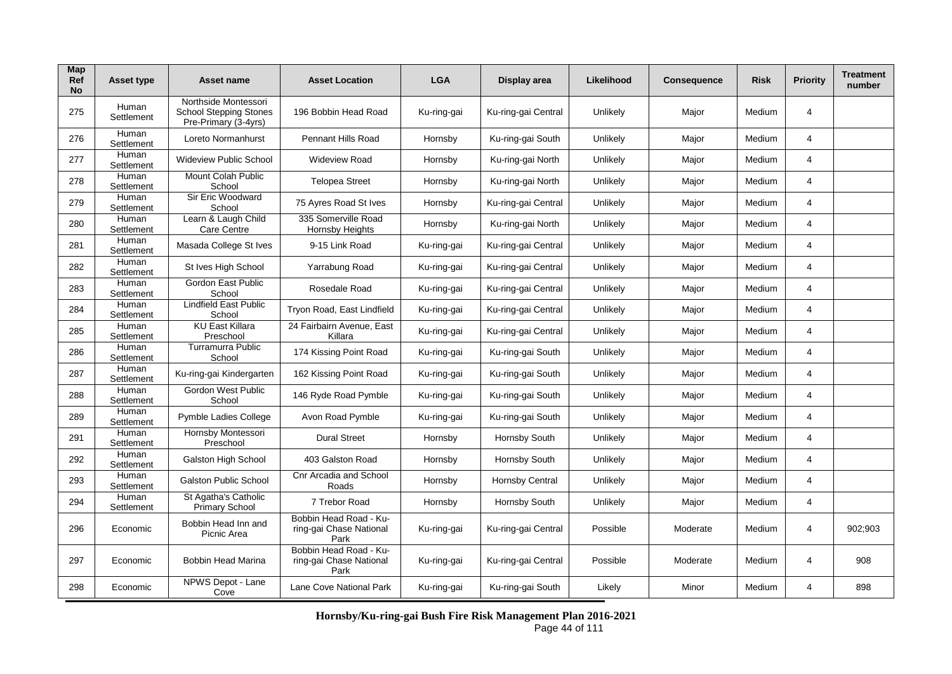| Map<br>Ref<br><b>No</b> | <b>Asset type</b>   | Asset name                                                                    | <b>Asset Location</b>                                     | <b>LGA</b>  | Display area           | Likelihood | <b>Consequence</b> | <b>Risk</b> | <b>Priority</b> | <b>Treatment</b><br>number |
|-------------------------|---------------------|-------------------------------------------------------------------------------|-----------------------------------------------------------|-------------|------------------------|------------|--------------------|-------------|-----------------|----------------------------|
| 275                     | Human<br>Settlement | Northside Montessori<br><b>School Stepping Stones</b><br>Pre-Primary (3-4yrs) | 196 Bobbin Head Road                                      | Ku-ring-gai | Ku-ring-gai Central    | Unlikely   | Major              | Medium      | $\overline{4}$  |                            |
| 276                     | Human<br>Settlement | Loreto Normanhurst                                                            | Pennant Hills Road                                        | Hornsby     | Ku-ring-gai South      | Unlikely   | Major              | Medium      | $\overline{4}$  |                            |
| 277                     | Human<br>Settlement | <b>Wideview Public School</b>                                                 | <b>Wideview Road</b>                                      | Hornsby     | Ku-ring-gai North      | Unlikely   | Major              | Medium      | 4               |                            |
| 278                     | Human<br>Settlement | Mount Colah Public<br>School                                                  | <b>Telopea Street</b>                                     | Hornsby     | Ku-ring-gai North      | Unlikely   | Major              | Medium      | 4               |                            |
| 279                     | Human<br>Settlement | Sir Eric Woodward<br>School                                                   | 75 Ayres Road St Ives                                     | Hornsby     | Ku-ring-gai Central    | Unlikely   | Major              | Medium      | $\overline{4}$  |                            |
| 280                     | Human<br>Settlement | Learn & Laugh Child<br><b>Care Centre</b>                                     | 335 Somerville Road<br>Hornsby Heights                    | Hornsby     | Ku-ring-gai North      | Unlikely   | Major              | Medium      | 4               |                            |
| 281                     | Human<br>Settlement | Masada College St Ives                                                        | 9-15 Link Road                                            | Ku-ring-gai | Ku-ring-gai Central    | Unlikely   | Major              | Medium      | 4               |                            |
| 282                     | Human<br>Settlement | St Ives High School                                                           | Yarrabung Road                                            | Ku-ring-gai | Ku-ring-gai Central    | Unlikely   | Major              | Medium      | $\overline{4}$  |                            |
| 283                     | Human<br>Settlement | Gordon East Public<br>School                                                  | Rosedale Road                                             | Ku-ring-gai | Ku-ring-gai Central    | Unlikely   | Major              | Medium      | 4               |                            |
| 284                     | Human<br>Settlement | <b>Lindfield East Public</b><br>School                                        | Tryon Road, East Lindfield                                | Ku-ring-gai | Ku-ring-gai Central    | Unlikely   | Major              | Medium      | $\overline{4}$  |                            |
| 285                     | Human<br>Settlement | <b>KU East Killara</b><br>Preschool                                           | 24 Fairbairn Avenue, East<br>Killara                      | Ku-ring-gai | Ku-ring-gai Central    | Unlikely   | Major              | Medium      | 4               |                            |
| 286                     | Human<br>Settlement | <b>Turramurra Public</b><br>School                                            | 174 Kissing Point Road                                    | Ku-ring-gai | Ku-ring-gai South      | Unlikely   | Major              | Medium      | 4               |                            |
| 287                     | Human<br>Settlement | Ku-ring-gai Kindergarten                                                      | 162 Kissing Point Road                                    | Ku-ring-gai | Ku-ring-gai South      | Unlikely   | Major              | Medium      | 4               |                            |
| 288                     | Human<br>Settlement | Gordon West Public<br>School                                                  | 146 Ryde Road Pymble                                      | Ku-ring-gai | Ku-ring-gai South      | Unlikely   | Major              | Medium      | 4               |                            |
| 289                     | Human<br>Settlement | Pymble Ladies College                                                         | Avon Road Pymble                                          | Ku-ring-gai | Ku-ring-gai South      | Unlikely   | Major              | Medium      | 4               |                            |
| 291                     | Human<br>Settlement | Hornsby Montessori<br>Preschool                                               | <b>Dural Street</b>                                       | Hornsby     | Hornsby South          | Unlikely   | Major              | Medium      | 4               |                            |
| 292                     | Human<br>Settlement | Galston High School                                                           | 403 Galston Road                                          | Hornsby     | Hornsby South          | Unlikely   | Major              | Medium      | 4               |                            |
| 293                     | Human<br>Settlement | <b>Galston Public School</b>                                                  | Cnr Arcadia and School<br>Roads                           | Hornsby     | <b>Hornsby Central</b> | Unlikely   | Major              | Medium      | 4               |                            |
| 294                     | Human<br>Settlement | St Agatha's Catholic<br>Primary School                                        | 7 Trebor Road                                             | Hornsby     | Hornsby South          | Unlikely   | Major              | Medium      | 4               |                            |
| 296                     | Economic            | Bobbin Head Inn and<br>Picnic Area                                            | Bobbin Head Road - Ku-<br>ring-gai Chase National<br>Park | Ku-ring-gai | Ku-ring-gai Central    | Possible   | Moderate           | Medium      | 4               | 902:903                    |
| 297                     | Economic            | <b>Bobbin Head Marina</b>                                                     | Bobbin Head Road - Ku-<br>ring-gai Chase National<br>Park | Ku-ring-gai | Ku-ring-gai Central    | Possible   | Moderate           | Medium      | 4               | 908                        |
| 298                     | Economic            | NPWS Depot - Lane<br>Cove                                                     | Lane Cove National Park                                   | Ku-ring-gai | Ku-ring-gai South      | Likely     | Minor              | Medium      | 4               | 898                        |

**Hornsby/Ku-ring-gai Bush Fire Risk Management Plan 2016-2021** Page 44 of 111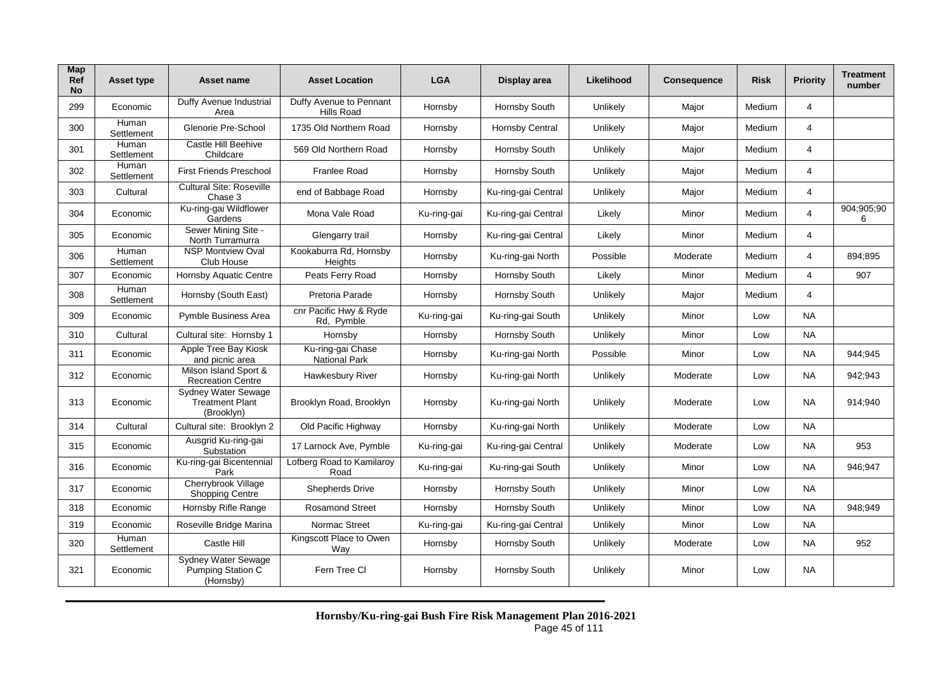| Map<br><b>Ref</b><br><b>No</b> | <b>Asset type</b>   | Asset name                                                         | <b>Asset Location</b>                        | <b>LGA</b>  | Display area        | Likelihood | <b>Consequence</b> | <b>Risk</b> | <b>Priority</b> | <b>Treatment</b><br>number |
|--------------------------------|---------------------|--------------------------------------------------------------------|----------------------------------------------|-------------|---------------------|------------|--------------------|-------------|-----------------|----------------------------|
| 299                            | Economic            | Duffy Avenue Industrial<br>Area                                    | Duffy Avenue to Pennant<br><b>Hills Road</b> | Hornsby     | Hornsby South       | Unlikely   | Major              | Medium      | 4               |                            |
| 300                            | Human<br>Settlement | Glenorie Pre-School                                                | 1735 Old Northern Road                       | Hornsby     | Hornsby Central     | Unlikely   | Major              | Medium      | 4               |                            |
| 301                            | Human<br>Settlement | Castle Hill Beehive<br>Childcare                                   | 569 Old Northern Road                        | Hornsby     | Hornsby South       | Unlikely   | Major              | Medium      | 4               |                            |
| 302                            | Human<br>Settlement | <b>First Friends Preschool</b>                                     | Franlee Road                                 | Hornsby     | Hornsby South       | Unlikely   | Major              | Medium      | 4               |                            |
| 303                            | Cultural            | <b>Cultural Site: Roseville</b><br>Chase 3                         | end of Babbage Road                          | Hornsby     | Ku-ring-gai Central | Unlikely   | Major              | Medium      | 4               |                            |
| 304                            | Economic            | Ku-ring-gai Wildflower<br>Gardens                                  | Mona Vale Road                               | Ku-ring-gai | Ku-ring-gai Central | Likely     | Minor              | Medium      | $\overline{4}$  | 904;905;90<br>6            |
| 305                            | Economic            | Sewer Mining Site -<br>North Turramurra                            | Glengarry trail                              | Hornsby     | Ku-ring-gai Central | Likely     | Minor              | Medium      | 4               |                            |
| 306                            | Human<br>Settlement | <b>NSP Montview Oval</b><br>Club House                             | Kookaburra Rd, Hornsby<br>Heights            | Hornsby     | Ku-ring-gai North   | Possible   | Moderate           | Medium      | 4               | 894:895                    |
| 307                            | Economic            | <b>Hornsby Aquatic Centre</b>                                      | Peats Ferry Road                             | Hornsby     | Hornsby South       | Likely     | Minor              | Medium      | 4               | 907                        |
| 308                            | Human<br>Settlement | Hornsby (South East)                                               | Pretoria Parade                              | Hornsby     | Hornsby South       | Unlikely   | Major              | Medium      | 4               |                            |
| 309                            | Economic            | Pymble Business Area                                               | cnr Pacific Hwy & Ryde<br>Rd, Pymble         | Ku-ring-gai | Ku-ring-gai South   | Unlikely   | Minor              | Low         | <b>NA</b>       |                            |
| 310                            | Cultural            | Cultural site: Hornsby 1                                           | Hornsby                                      | Hornsby     | Hornsby South       | Unlikely   | Minor              | Low         | <b>NA</b>       |                            |
| 311                            | Economic            | Apple Tree Bay Kiosk<br>and picnic area                            | Ku-ring-gai Chase<br><b>National Park</b>    | Hornsby     | Ku-ring-gai North   | Possible   | Minor              | Low         | <b>NA</b>       | 944;945                    |
| 312                            | Economic            | Milson Island Sport &<br><b>Recreation Centre</b>                  | Hawkesbury River                             | Hornsby     | Ku-ring-gai North   | Unlikely   | Moderate           | Low         | <b>NA</b>       | 942;943                    |
| 313                            | Economic            | <b>Sydney Water Sewage</b><br><b>Treatment Plant</b><br>(Brooklyn) | Brooklyn Road, Brooklyn                      | Hornsby     | Ku-ring-gai North   | Unlikely   | Moderate           | Low         | <b>NA</b>       | 914;940                    |
| 314                            | Cultural            | Cultural site: Brooklyn 2                                          | Old Pacific Highway                          | Hornsby     | Ku-ring-gai North   | Unlikely   | Moderate           | Low         | <b>NA</b>       |                            |
| 315                            | Economic            | Ausgrid Ku-ring-gai<br>Substation                                  | 17 Larnock Ave, Pymble                       | Ku-ring-gai | Ku-ring-gai Central | Unlikely   | Moderate           | Low         | NA              | 953                        |
| 316                            | Economic            | Ku-ring-gai Bicentennial<br>Park                                   | Lofberg Road to Kamilaroy<br>Road            | Ku-ring-gai | Ku-ring-gai South   | Unlikely   | Minor              | Low         | <b>NA</b>       | 946:947                    |
| 317                            | Economic            | Cherrybrook Village<br><b>Shopping Centre</b>                      | <b>Shepherds Drive</b>                       | Hornsby     | Hornsby South       | Unlikely   | Minor              | Low         | <b>NA</b>       |                            |
| 318                            | Economic            | Hornsby Rifle Range                                                | <b>Rosamond Street</b>                       | Hornsby     | Hornsby South       | Unlikely   | Minor              | Low         | <b>NA</b>       | 948;949                    |
| 319                            | Economic            | Roseville Bridge Marina                                            | Normac Street                                | Ku-ring-gai | Ku-ring-gai Central | Unlikely   | Minor              | Low         | <b>NA</b>       |                            |
| 320                            | Human<br>Settlement | Castle Hill                                                        | Kingscott Place to Owen<br>Wav               | Hornsby     | Hornsby South       | Unlikely   | Moderate           | Low         | <b>NA</b>       | 952                        |
| 321                            | Economic            | <b>Sydney Water Sewage</b><br>Pumping Station C<br>(Hornsby)       | Fern Tree Cl                                 | Hornsby     | Hornsby South       | Unlikely   | Minor              | Low         | <b>NA</b>       |                            |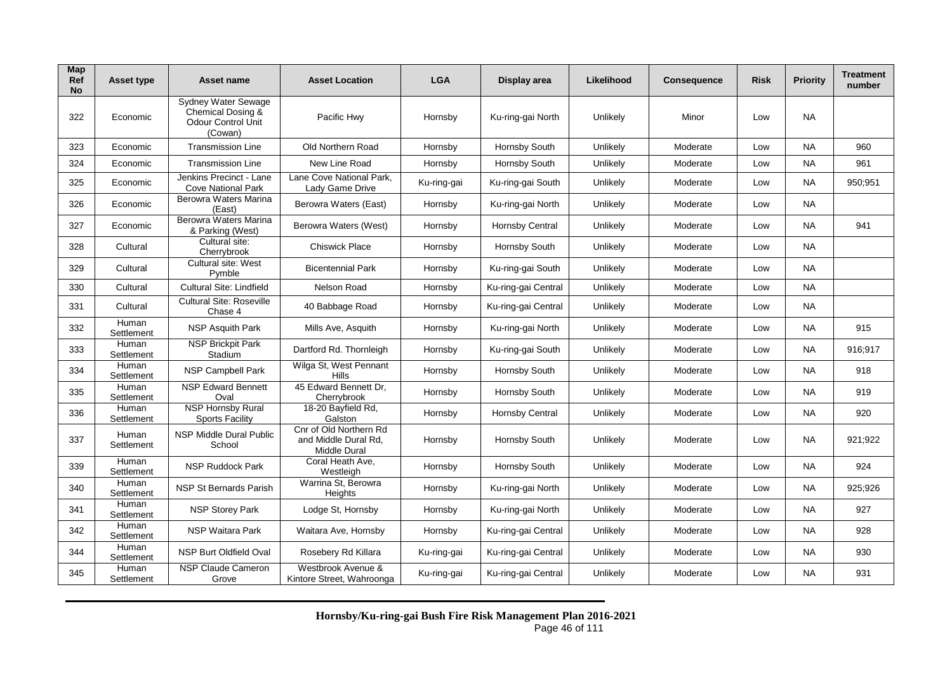| Map<br>Ref<br><b>No</b> | Asset type          | Asset name                                                                              | <b>Asset Location</b>                                                 | <b>LGA</b>  | Display area        | Likelihood | Consequence | <b>Risk</b> | <b>Priority</b> | <b>Treatment</b><br>number |
|-------------------------|---------------------|-----------------------------------------------------------------------------------------|-----------------------------------------------------------------------|-------------|---------------------|------------|-------------|-------------|-----------------|----------------------------|
| 322                     | Economic            | <b>Sydney Water Sewage</b><br>Chemical Dosing &<br><b>Odour Control Unit</b><br>(Cowan) | Pacific Hwv                                                           | Hornsby     | Ku-ring-gai North   | Unlikely   | Minor       | Low         | <b>NA</b>       |                            |
| 323                     | Economic            | <b>Transmission Line</b>                                                                | Old Northern Road                                                     | Hornsby     | Hornsby South       | Unlikely   | Moderate    | Low         | <b>NA</b>       | 960                        |
| 324                     | Economic            | <b>Transmission Line</b>                                                                | New Line Road                                                         | Hornsby     | Hornsby South       | Unlikely   | Moderate    | Low         | <b>NA</b>       | 961                        |
| 325                     | Economic            | Jenkins Precinct - Lane<br><b>Cove National Park</b>                                    | Lane Cove National Park.<br>Lady Game Drive                           | Ku-ring-gai | Ku-ring-gai South   | Unlikely   | Moderate    | Low         | <b>NA</b>       | 950;951                    |
| 326                     | Economic            | Berowra Waters Marina<br>(East)                                                         | Berowra Waters (East)                                                 | Hornsby     | Ku-ring-gai North   | Unlikely   | Moderate    | Low         | <b>NA</b>       |                            |
| 327                     | Economic            | Berowra Waters Marina<br>& Parking (West)                                               | Berowra Waters (West)                                                 | Hornsby     | Hornsby Central     | Unlikely   | Moderate    | Low         | <b>NA</b>       | 941                        |
| 328                     | Cultural            | Cultural site:<br>Cherrybrook                                                           | <b>Chiswick Place</b>                                                 | Hornsby     | Hornsby South       | Unlikely   | Moderate    | Low         | <b>NA</b>       |                            |
| 329                     | Cultural            | Cultural site: West<br>Pymble                                                           | <b>Bicentennial Park</b>                                              | Hornsby     | Ku-ring-gai South   | Unlikely   | Moderate    | Low         | <b>NA</b>       |                            |
| 330                     | Cultural            | Cultural Site: Lindfield                                                                | Nelson Road                                                           | Hornsby     | Ku-ring-gai Central | Unlikely   | Moderate    | Low         | <b>NA</b>       |                            |
| 331                     | Cultural            | <b>Cultural Site: Roseville</b><br>Chase 4                                              | 40 Babbage Road                                                       | Hornsby     | Ku-ring-gai Central | Unlikely   | Moderate    | Low         | <b>NA</b>       |                            |
| 332                     | Human<br>Settlement | NSP Asquith Park                                                                        | Mills Ave, Asquith                                                    | Hornsby     | Ku-ring-gai North   | Unlikely   | Moderate    | Low         | <b>NA</b>       | 915                        |
| 333                     | Human<br>Settlement | <b>NSP Brickpit Park</b><br>Stadium                                                     | Dartford Rd. Thornleigh                                               | Hornsby     | Ku-ring-gai South   | Unlikely   | Moderate    | Low         | <b>NA</b>       | 916;917                    |
| 334                     | Human<br>Settlement | NSP Campbell Park                                                                       | Wilga St, West Pennant<br>Hills                                       | Hornsby     | Hornsby South       | Unlikely   | Moderate    | Low         | <b>NA</b>       | 918                        |
| 335                     | Human<br>Settlement | <b>NSP Edward Bennett</b><br>Oval                                                       | 45 Edward Bennett Dr,<br>Cherrybrook                                  | Hornsby     | Hornsby South       | Unlikely   | Moderate    | Low         | <b>NA</b>       | 919                        |
| 336                     | Human<br>Settlement | <b>NSP Hornsby Rural</b><br><b>Sports Facility</b>                                      | 18-20 Bayfield Rd,<br>Galston                                         | Hornsby     | Hornsby Central     | Unlikely   | Moderate    | Low         | <b>NA</b>       | 920                        |
| 337                     | Human<br>Settlement | <b>NSP Middle Dural Public</b><br>School                                                | Cnr of Old Northern Rd<br>and Middle Dural Rd,<br><b>Middle Dural</b> | Hornsby     | Hornsby South       | Unlikely   | Moderate    | Low         | <b>NA</b>       | 921;922                    |
| 339                     | Human<br>Settlement | NSP Ruddock Park                                                                        | Coral Heath Ave,<br>Westleigh                                         | Hornsby     | Hornsby South       | Unlikely   | Moderate    | Low         | <b>NA</b>       | 924                        |
| 340                     | Human<br>Settlement | <b>NSP St Bernards Parish</b>                                                           | Warrina St, Berowra<br>Heights                                        | Hornsby     | Ku-ring-gai North   | Unlikely   | Moderate    | Low         | <b>NA</b>       | 925;926                    |
| 341                     | Human<br>Settlement | <b>NSP Storey Park</b>                                                                  | Lodge St, Hornsby                                                     | Hornsby     | Ku-ring-gai North   | Unlikely   | Moderate    | Low         | <b>NA</b>       | 927                        |
| 342                     | Human<br>Settlement | <b>NSP Waitara Park</b>                                                                 | Waitara Ave, Hornsby                                                  | Hornsby     | Ku-ring-gai Central | Unlikely   | Moderate    | Low         | <b>NA</b>       | 928                        |
| 344                     | Human<br>Settlement | <b>NSP Burt Oldfield Oval</b>                                                           | Rosebery Rd Killara                                                   | Ku-ring-gai | Ku-ring-gai Central | Unlikely   | Moderate    | Low         | <b>NA</b>       | 930                        |
| 345                     | Human<br>Settlement | <b>NSP Claude Cameron</b><br>Grove                                                      | Westbrook Avenue &<br>Kintore Street, Wahroonga                       | Ku-ring-gai | Ku-ring-gai Central | Unlikely   | Moderate    | Low         | <b>NA</b>       | 931                        |